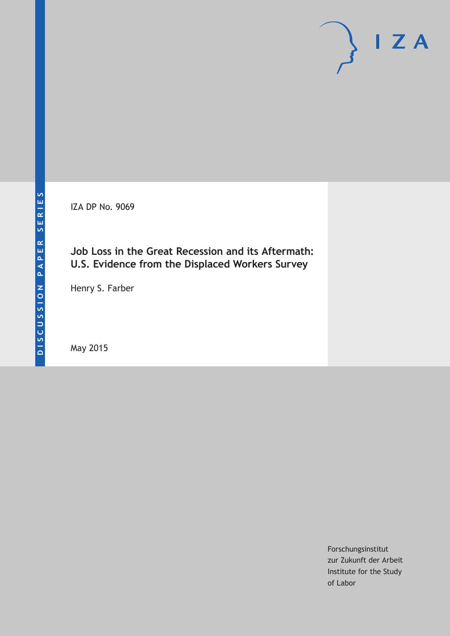IZA DP No. 9069

# **Job Loss in the Great Recession and its Aftermath: U.S. Evidence from the Displaced Workers Survey**

Henry S. Farber

May 2015

Forschungsinstitut zur Zukunft der Arbeit Institute for the Study of Labor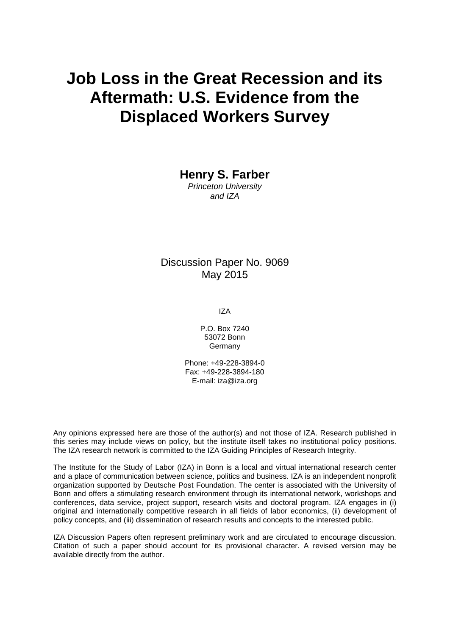# **Job Loss in the Great Recession and its Aftermath: U.S. Evidence from the Displaced Workers Survey**

**Henry S. Farber**

*Princeton University and IZA*

Discussion Paper No. 9069 May 2015

IZA

P.O. Box 7240 53072 Bonn Germany

Phone: +49-228-3894-0 Fax: +49-228-3894-180 E-mail: iza@iza.org

Any opinions expressed here are those of the author(s) and not those of IZA. Research published in this series may include views on policy, but the institute itself takes no institutional policy positions. The IZA research network is committed to the IZA Guiding Principles of Research Integrity.

The Institute for the Study of Labor (IZA) in Bonn is a local and virtual international research center and a place of communication between science, politics and business. IZA is an independent nonprofit organization supported by Deutsche Post Foundation. The center is associated with the University of Bonn and offers a stimulating research environment through its international network, workshops and conferences, data service, project support, research visits and doctoral program. IZA engages in (i) original and internationally competitive research in all fields of labor economics, (ii) development of policy concepts, and (iii) dissemination of research results and concepts to the interested public.

<span id="page-1-0"></span>IZA Discussion Papers often represent preliminary work and are circulated to encourage discussion. Citation of such a paper should account for its provisional character. A revised version may be available directly from the author.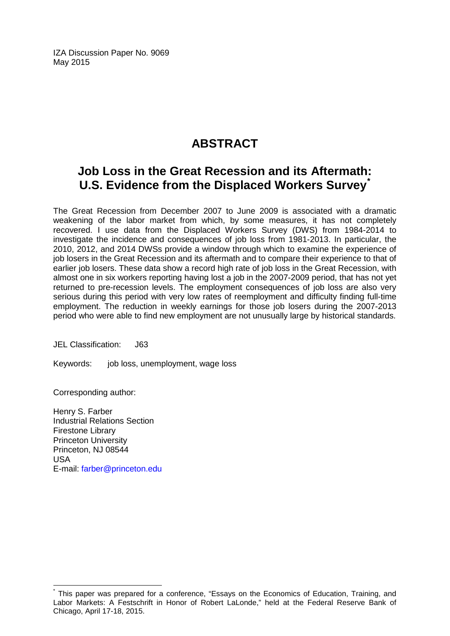IZA Discussion Paper No. 9069 May 2015

# **ABSTRACT**

# **Job Loss in the Great Recession and its Aftermath: U.S. Evidence from the Displaced Workers Survey[\\*](#page-1-0)**

The Great Recession from December 2007 to June 2009 is associated with a dramatic weakening of the labor market from which, by some measures, it has not completely recovered. I use data from the Displaced Workers Survey (DWS) from 1984-2014 to investigate the incidence and consequences of job loss from 1981-2013. In particular, the 2010, 2012, and 2014 DWSs provide a window through which to examine the experience of job losers in the Great Recession and its aftermath and to compare their experience to that of earlier job losers. These data show a record high rate of job loss in the Great Recession, with almost one in six workers reporting having lost a job in the 2007-2009 period, that has not yet returned to pre-recession levels. The employment consequences of job loss are also very serious during this period with very low rates of reemployment and difficulty finding full-time employment. The reduction in weekly earnings for those job losers during the 2007-2013 period who were able to find new employment are not unusually large by historical standards.

JEL Classification: J63

Keywords: job loss, unemployment, wage loss

Corresponding author:

Henry S. Farber Industrial Relations Section Firestone Library Princeton University Princeton, NJ 08544 USA E-mail: [farber@princeton.edu](mailto:farber@princeton.edu)

This paper was prepared for a conference, "Essays on the Economics of Education, Training, and Labor Markets: A Festschrift in Honor of Robert LaLonde," held at the Federal Reserve Bank of Chicago, April 17-18, 2015.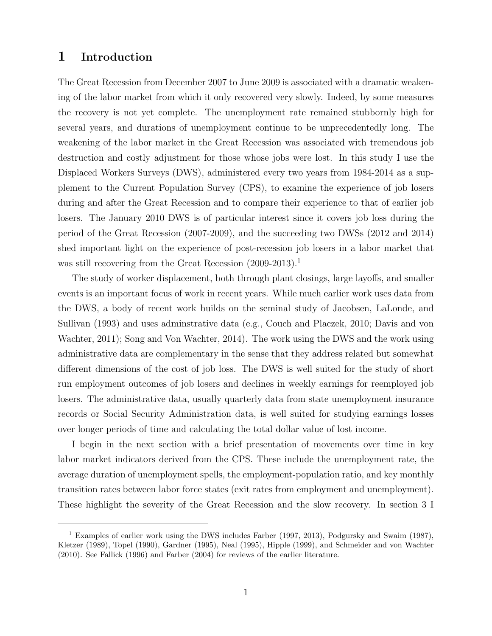### 1 Introduction

The Great Recession from December 2007 to June 2009 is associated with a dramatic weakening of the labor market from which it only recovered very slowly. Indeed, by some measures the recovery is not yet complete. The unemployment rate remained stubbornly high for several years, and durations of unemployment continue to be unprecedentedly long. The weakening of the labor market in the Great Recession was associated with tremendous job destruction and costly adjustment for those whose jobs were lost. In this study I use the Displaced Workers Surveys (DWS), administered every two years from 1984-2014 as a supplement to the Current Population Survey (CPS), to examine the experience of job losers during and after the Great Recession and to compare their experience to that of earlier job losers. The January 2010 DWS is of particular interest since it covers job loss during the period of the Great Recession (2007-2009), and the succeeding two DWSs (2012 and 2014) shed important light on the experience of post-recession job losers in a labor market that was still recovering from the Great Recession (2009-2013).<sup>1</sup>

The study of worker displacement, both through plant closings, large layoffs, and smaller events is an important focus of work in recent years. While much earlier work uses data from the DWS, a body of recent work builds on the seminal study of Jacobsen, LaLonde, and Sullivan (1993) and uses adminstrative data (e.g., Couch and Placzek, 2010; Davis and von Wachter, 2011); Song and Von Wachter, 2014). The work using the DWS and the work using administrative data are complementary in the sense that they address related but somewhat different dimensions of the cost of job loss. The DWS is well suited for the study of short run employment outcomes of job losers and declines in weekly earnings for reemployed job losers. The administrative data, usually quarterly data from state unemployment insurance records or Social Security Administration data, is well suited for studying earnings losses over longer periods of time and calculating the total dollar value of lost income.

I begin in the next section with a brief presentation of movements over time in key labor market indicators derived from the CPS. These include the unemployment rate, the average duration of unemployment spells, the employment-population ratio, and key monthly transition rates between labor force states (exit rates from employment and unemployment). These highlight the severity of the Great Recession and the slow recovery. In section 3 I

<sup>&</sup>lt;sup>1</sup> Examples of earlier work using the DWS includes Farber (1997, 2013), Podgursky and Swaim (1987), Kletzer (1989), Topel (1990), Gardner (1995), Neal (1995), Hipple (1999), and Schmeider and von Wachter (2010). See Fallick (1996) and Farber (2004) for reviews of the earlier literature.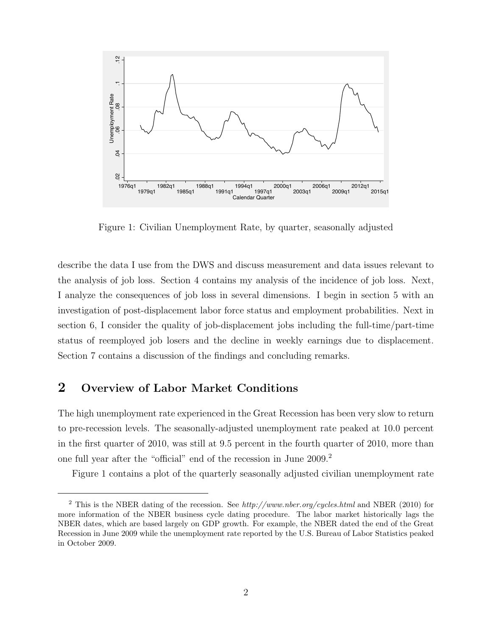

Figure 1: Civilian Unemployment Rate, by quarter, seasonally adjusted

describe the data I use from the DWS and discuss measurement and data issues relevant to the analysis of job loss. Section 4 contains my analysis of the incidence of job loss. Next, I analyze the consequences of job loss in several dimensions. I begin in section 5 with an investigation of post-displacement labor force status and employment probabilities. Next in section 6, I consider the quality of job-displacement jobs including the full-time/part-time status of reemployed job losers and the decline in weekly earnings due to displacement. Section 7 contains a discussion of the findings and concluding remarks.

# 2 Overview of Labor Market Conditions

The high unemployment rate experienced in the Great Recession has been very slow to return to pre-recession levels. The seasonally-adjusted unemployment rate peaked at 10.0 percent in the first quarter of 2010, was still at 9.5 percent in the fourth quarter of 2010, more than one full year after the "official" end of the recession in June 2009.<sup>2</sup>

Figure 1 contains a plot of the quarterly seasonally adjusted civilian unemployment rate

<sup>&</sup>lt;sup>2</sup> This is the NBER dating of the recession. See  $http://www.nber.org/cycles.html$  and NBER (2010) for more information of the NBER business cycle dating procedure. The labor market historically lags the NBER dates, which are based largely on GDP growth. For example, the NBER dated the end of the Great Recession in June 2009 while the unemployment rate reported by the U.S. Bureau of Labor Statistics peaked in October 2009.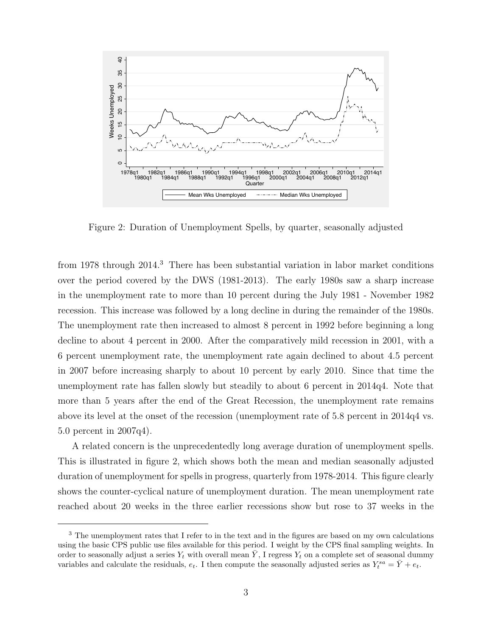

Figure 2: Duration of Unemployment Spells, by quarter, seasonally adjusted

from 1978 through 2014.<sup>3</sup> There has been substantial variation in labor market conditions over the period covered by the DWS (1981-2013). The early 1980s saw a sharp increase in the unemployment rate to more than 10 percent during the July 1981 - November 1982 recession. This increase was followed by a long decline in during the remainder of the 1980s. The unemployment rate then increased to almost 8 percent in 1992 before beginning a long decline to about 4 percent in 2000. After the comparatively mild recession in 2001, with a 6 percent unemployment rate, the unemployment rate again declined to about 4.5 percent in 2007 before increasing sharply to about 10 percent by early 2010. Since that time the unemployment rate has fallen slowly but steadily to about 6 percent in 2014q4. Note that more than 5 years after the end of the Great Recession, the unemployment rate remains above its level at the onset of the recession (unemployment rate of 5.8 percent in 2014q4 vs. 5.0 percent in 2007q4).

A related concern is the unprecedentedly long average duration of unemployment spells. This is illustrated in figure 2, which shows both the mean and median seasonally adjusted duration of unemployment for spells in progress, quarterly from 1978-2014. This figure clearly shows the counter-cyclical nature of unemployment duration. The mean unemployment rate reached about 20 weeks in the three earlier recessions show but rose to 37 weeks in the

<sup>3</sup> The unemployment rates that I refer to in the text and in the figures are based on my own calculations using the basic CPS public use files available for this period. I weight by the CPS final sampling weights. In order to seasonally adjust a series  $Y_t$  with overall mean  $\overline{Y}$ , I regress  $Y_t$  on a complete set of seasonal dummy variables and calculate the residuals,  $e_t$ . I then compute the seasonally adjusted series as  $Y_t^{sa} = \bar{Y} + e_t$ .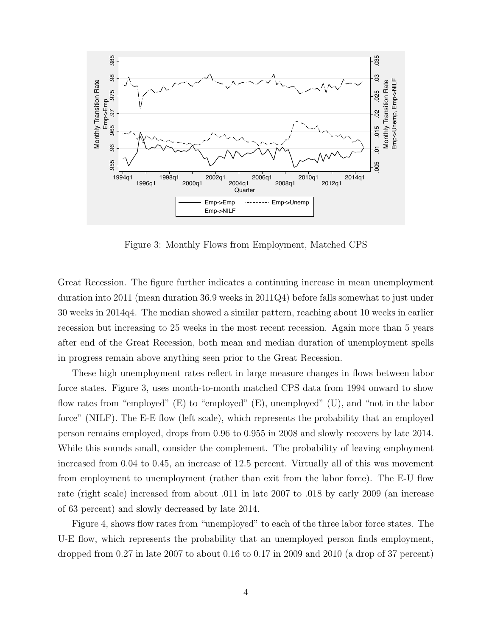

Figure 3: Monthly Flows from Employment, Matched CPS

Great Recession. The figure further indicates a continuing increase in mean unemployment duration into 2011 (mean duration 36.9 weeks in 2011Q4) before falls somewhat to just under 30 weeks in 2014q4. The median showed a similar pattern, reaching about 10 weeks in earlier recession but increasing to 25 weeks in the most recent recession. Again more than 5 years after end of the Great Recession, both mean and median duration of unemployment spells in progress remain above anything seen prior to the Great Recession.

These high unemployment rates reflect in large measure changes in flows between labor force states. Figure 3, uses month-to-month matched CPS data from 1994 onward to show flow rates from "employed" (E) to "employed" (E), unemployed" (U), and "not in the labor force" (NILF). The E-E flow (left scale), which represents the probability that an employed person remains employed, drops from 0.96 to 0.955 in 2008 and slowly recovers by late 2014. While this sounds small, consider the complement. The probability of leaving employment increased from 0.04 to 0.45, an increase of 12.5 percent. Virtually all of this was movement from employment to unemployment (rather than exit from the labor force). The E-U flow rate (right scale) increased from about .011 in late 2007 to .018 by early 2009 (an increase of 63 percent) and slowly decreased by late 2014.

Figure 4, shows flow rates from "unemployed" to each of the three labor force states. The U-E flow, which represents the probability that an unemployed person finds employment, dropped from 0.27 in late 2007 to about 0.16 to 0.17 in 2009 and 2010 (a drop of 37 percent)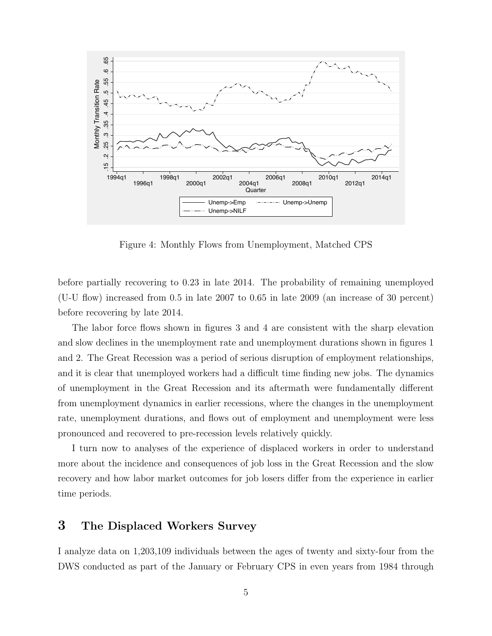

Figure 4: Monthly Flows from Unemployment, Matched CPS

before partially recovering to 0.23 in late 2014. The probability of remaining unemployed (U-U flow) increased from 0.5 in late 2007 to 0.65 in late 2009 (an increase of 30 percent) before recovering by late 2014.

The labor force flows shown in figures 3 and 4 are consistent with the sharp elevation and slow declines in the unemployment rate and unemployment durations shown in figures 1 and 2. The Great Recession was a period of serious disruption of employment relationships, and it is clear that unemployed workers had a difficult time finding new jobs. The dynamics of unemployment in the Great Recession and its aftermath were fundamentally different from unemployment dynamics in earlier recessions, where the changes in the unemployment rate, unemployment durations, and flows out of employment and unemployment were less pronounced and recovered to pre-recession levels relatively quickly.

I turn now to analyses of the experience of displaced workers in order to understand more about the incidence and consequences of job loss in the Great Recession and the slow recovery and how labor market outcomes for job losers differ from the experience in earlier time periods.

# 3 The Displaced Workers Survey

I analyze data on 1,203,109 individuals between the ages of twenty and sixty-four from the DWS conducted as part of the January or February CPS in even years from 1984 through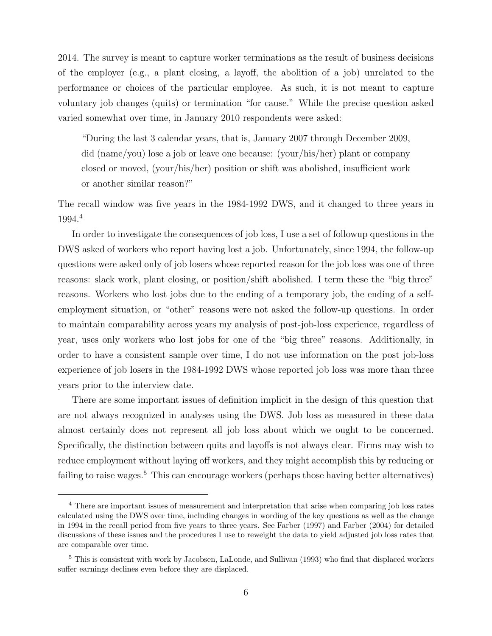2014. The survey is meant to capture worker terminations as the result of business decisions of the employer (e.g., a plant closing, a layoff, the abolition of a job) unrelated to the performance or choices of the particular employee. As such, it is not meant to capture voluntary job changes (quits) or termination "for cause." While the precise question asked varied somewhat over time, in January 2010 respondents were asked:

"During the last 3 calendar years, that is, January 2007 through December 2009, did (name/you) lose a job or leave one because: (your/his/her) plant or company closed or moved, (your/his/her) position or shift was abolished, insufficient work or another similar reason?"

The recall window was five years in the 1984-1992 DWS, and it changed to three years in 1994.<sup>4</sup>

In order to investigate the consequences of job loss, I use a set of followup questions in the DWS asked of workers who report having lost a job. Unfortunately, since 1994, the follow-up questions were asked only of job losers whose reported reason for the job loss was one of three reasons: slack work, plant closing, or position/shift abolished. I term these the "big three" reasons. Workers who lost jobs due to the ending of a temporary job, the ending of a selfemployment situation, or "other" reasons were not asked the follow-up questions. In order to maintain comparability across years my analysis of post-job-loss experience, regardless of year, uses only workers who lost jobs for one of the "big three" reasons. Additionally, in order to have a consistent sample over time, I do not use information on the post job-loss experience of job losers in the 1984-1992 DWS whose reported job loss was more than three years prior to the interview date.

There are some important issues of definition implicit in the design of this question that are not always recognized in analyses using the DWS. Job loss as measured in these data almost certainly does not represent all job loss about which we ought to be concerned. Specifically, the distinction between quits and layoffs is not always clear. Firms may wish to reduce employment without laying off workers, and they might accomplish this by reducing or failing to raise wages.<sup>5</sup> This can encourage workers (perhaps those having better alternatives)

<sup>4</sup> There are important issues of measurement and interpretation that arise when comparing job loss rates calculated using the DWS over time, including changes in wording of the key questions as well as the change in 1994 in the recall period from five years to three years. See Farber (1997) and Farber (2004) for detailed discussions of these issues and the procedures I use to reweight the data to yield adjusted job loss rates that are comparable over time.

<sup>5</sup> This is consistent with work by Jacobsen, LaLonde, and Sullivan (1993) who find that displaced workers suffer earnings declines even before they are displaced.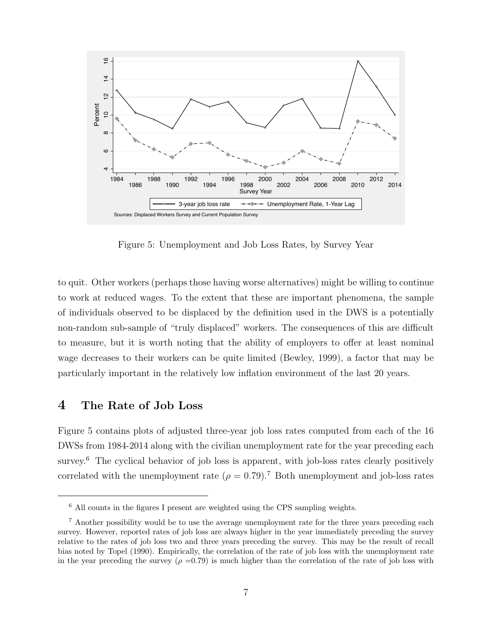

Figure 5: Unemployment and Job Loss Rates, by Survey Year

to quit. Other workers (perhaps those having worse alternatives) might be willing to continue to work at reduced wages. To the extent that these are important phenomena, the sample of individuals observed to be displaced by the definition used in the DWS is a potentially non-random sub-sample of "truly displaced" workers. The consequences of this are difficult to measure, but it is worth noting that the ability of employers to offer at least nominal wage decreases to their workers can be quite limited (Bewley, 1999), a factor that may be particularly important in the relatively low inflation environment of the last 20 years.

#### 4 The Rate of Job Loss

Figure 5 contains plots of adjusted three-year job loss rates computed from each of the 16 DWSs from 1984-2014 along with the civilian unemployment rate for the year preceding each survey.<sup>6</sup> The cyclical behavior of job loss is apparent, with job-loss rates clearly positively correlated with the unemployment rate ( $\rho = 0.79$ ).<sup>7</sup> Both unemployment and job-loss rates

<sup>6</sup> All counts in the figures I present are weighted using the CPS sampling weights.

<sup>7</sup> Another possibility would be to use the average unemployment rate for the three years preceding each survey. However, reported rates of job loss are always higher in the year immediately preceding the survey relative to the rates of job loss two and three years preceding the survey. This may be the result of recall bias noted by Topel (1990). Empirically, the correlation of the rate of job loss with the unemployment rate in the year preceding the survey ( $\rho = 0.79$ ) is much higher than the correlation of the rate of job loss with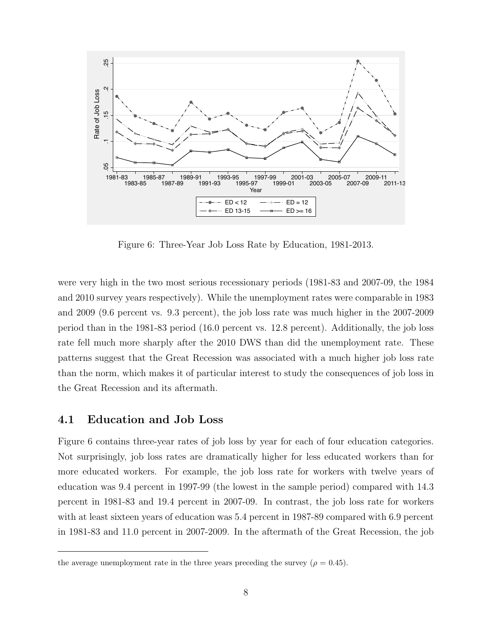

Figure 6: Three-Year Job Loss Rate by Education, 1981-2013.

were very high in the two most serious recessionary periods (1981-83 and 2007-09, the 1984 and 2010 survey years respectively). While the unemployment rates were comparable in 1983 and 2009 (9.6 percent vs. 9.3 percent), the job loss rate was much higher in the 2007-2009 period than in the 1981-83 period (16.0 percent vs. 12.8 percent). Additionally, the job loss rate fell much more sharply after the 2010 DWS than did the unemployment rate. These patterns suggest that the Great Recession was associated with a much higher job loss rate than the norm, which makes it of particular interest to study the consequences of job loss in the Great Recession and its aftermath.

#### 4.1 Education and Job Loss

Figure 6 contains three-year rates of job loss by year for each of four education categories. Not surprisingly, job loss rates are dramatically higher for less educated workers than for more educated workers. For example, the job loss rate for workers with twelve years of education was 9.4 percent in 1997-99 (the lowest in the sample period) compared with 14.3 percent in 1981-83 and 19.4 percent in 2007-09. In contrast, the job loss rate for workers with at least sixteen years of education was 5.4 percent in 1987-89 compared with 6.9 percent in 1981-83 and 11.0 percent in 2007-2009. In the aftermath of the Great Recession, the job

the average unemployment rate in the three years preceding the survey ( $\rho = 0.45$ ).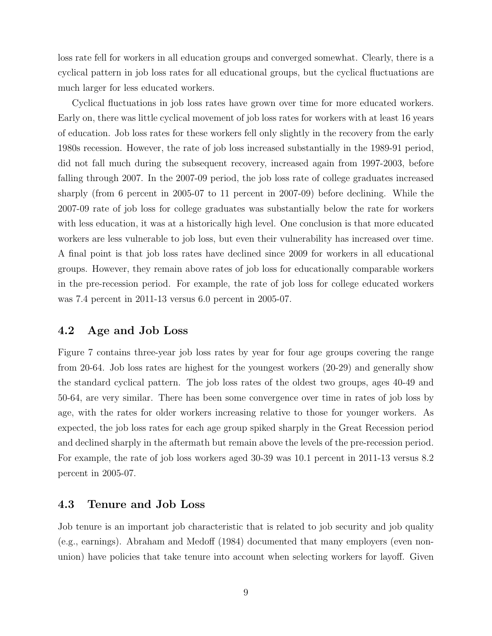loss rate fell for workers in all education groups and converged somewhat. Clearly, there is a cyclical pattern in job loss rates for all educational groups, but the cyclical fluctuations are much larger for less educated workers.

Cyclical fluctuations in job loss rates have grown over time for more educated workers. Early on, there was little cyclical movement of job loss rates for workers with at least 16 years of education. Job loss rates for these workers fell only slightly in the recovery from the early 1980s recession. However, the rate of job loss increased substantially in the 1989-91 period, did not fall much during the subsequent recovery, increased again from 1997-2003, before falling through 2007. In the 2007-09 period, the job loss rate of college graduates increased sharply (from 6 percent in 2005-07 to 11 percent in 2007-09) before declining. While the 2007-09 rate of job loss for college graduates was substantially below the rate for workers with less education, it was at a historically high level. One conclusion is that more educated workers are less vulnerable to job loss, but even their vulnerability has increased over time. A final point is that job loss rates have declined since 2009 for workers in all educational groups. However, they remain above rates of job loss for educationally comparable workers in the pre-recession period. For example, the rate of job loss for college educated workers was 7.4 percent in 2011-13 versus 6.0 percent in 2005-07.

#### 4.2 Age and Job Loss

Figure 7 contains three-year job loss rates by year for four age groups covering the range from 20-64. Job loss rates are highest for the youngest workers (20-29) and generally show the standard cyclical pattern. The job loss rates of the oldest two groups, ages 40-49 and 50-64, are very similar. There has been some convergence over time in rates of job loss by age, with the rates for older workers increasing relative to those for younger workers. As expected, the job loss rates for each age group spiked sharply in the Great Recession period and declined sharply in the aftermath but remain above the levels of the pre-recession period. For example, the rate of job loss workers aged 30-39 was 10.1 percent in 2011-13 versus 8.2 percent in 2005-07.

#### 4.3 Tenure and Job Loss

Job tenure is an important job characteristic that is related to job security and job quality (e.g., earnings). Abraham and Medoff (1984) documented that many employers (even nonunion) have policies that take tenure into account when selecting workers for layoff. Given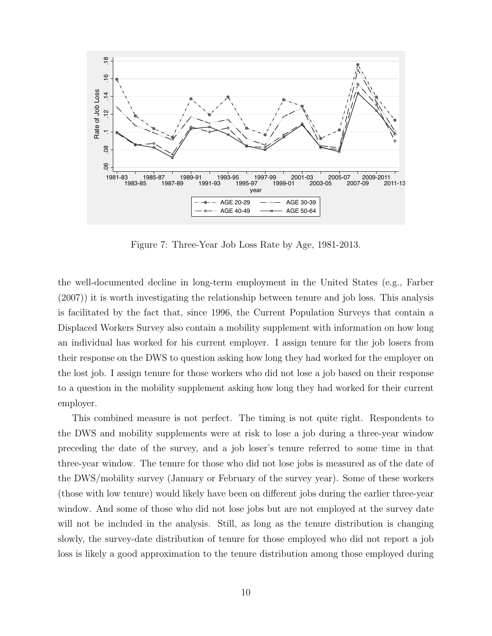

Figure 7: Three-Year Job Loss Rate by Age, 1981-2013.

the well-documented decline in long-term employment in the United States (e.g., Farber (2007)) it is worth investigating the relationship between tenure and job loss. This analysis is facilitated by the fact that, since 1996, the Current Population Surveys that contain a Displaced Workers Survey also contain a mobility supplement with information on how long an individual has worked for his current employer. I assign tenure for the job losers from their response on the DWS to question asking how long they had worked for the employer on the lost job. I assign tenure for those workers who did not lose a job based on their response to a question in the mobility supplement asking how long they had worked for their current employer.

This combined measure is not perfect. The timing is not quite right. Respondents to the DWS and mobility supplements were at risk to lose a job during a three-year window preceding the date of the survey, and a job loser's tenure referred to some time in that three-year window. The tenure for those who did not lose jobs is measured as of the date of the DWS/mobility survey (January or February of the survey year). Some of these workers (those with low tenure) would likely have been on different jobs during the earlier three-year window. And some of those who did not lose jobs but are not employed at the survey date will not be included in the analysis. Still, as long as the tenure distribution is changing slowly, the survey-date distribution of tenure for those employed who did not report a job loss is likely a good approximation to the tenure distribution among those employed during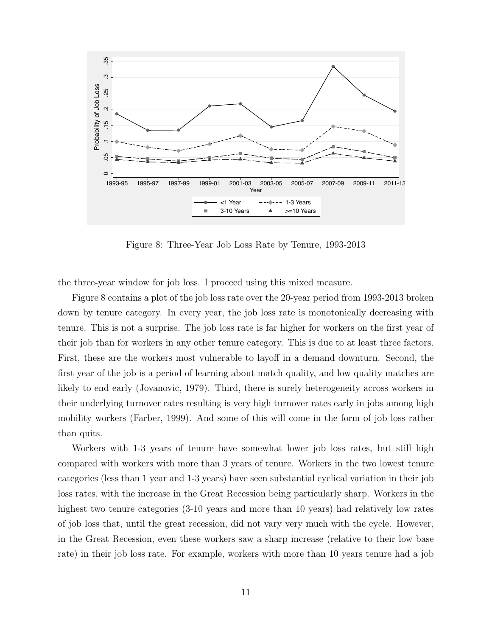

Figure 8: Three-Year Job Loss Rate by Tenure, 1993-2013

the three-year window for job loss. I proceed using this mixed measure.

Figure 8 contains a plot of the job loss rate over the 20-year period from 1993-2013 broken down by tenure category. In every year, the job loss rate is monotonically decreasing with tenure. This is not a surprise. The job loss rate is far higher for workers on the first year of their job than for workers in any other tenure category. This is due to at least three factors. First, these are the workers most vulnerable to layoff in a demand downturn. Second, the first year of the job is a period of learning about match quality, and low quality matches are likely to end early (Jovanovic, 1979). Third, there is surely heterogeneity across workers in their underlying turnover rates resulting is very high turnover rates early in jobs among high mobility workers (Farber, 1999). And some of this will come in the form of job loss rather than quits.

Workers with 1-3 years of tenure have somewhat lower job loss rates, but still high compared with workers with more than 3 years of tenure. Workers in the two lowest tenure categories (less than 1 year and 1-3 years) have seen substantial cyclical variation in their job loss rates, with the increase in the Great Recession being particularly sharp. Workers in the highest two tenure categories  $(3-10 \text{ years})$  and more than 10 years) had relatively low rates of job loss that, until the great recession, did not vary very much with the cycle. However, in the Great Recession, even these workers saw a sharp increase (relative to their low base rate) in their job loss rate. For example, workers with more than 10 years tenure had a job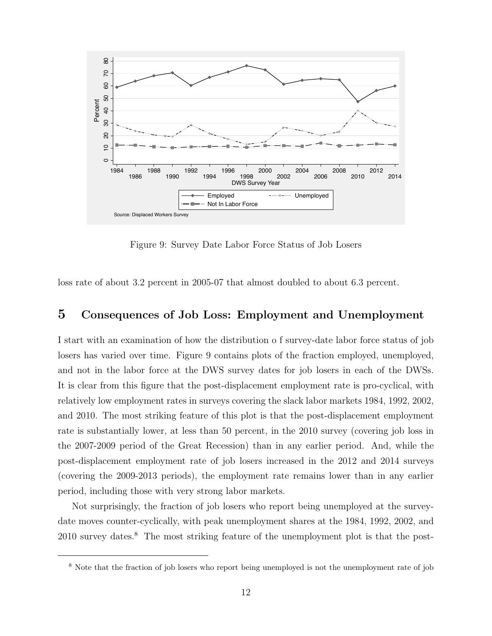

Figure 9: Survey Date Labor Force Status of Job Losers

loss rate of about 3.2 percent in 2005-07 that almost doubled to about 6.3 percent.

### 5 Consequences of Job Loss: Employment and Unemployment

I start with an examination of how the distribution o f survey-date labor force status of job losers has varied over time. Figure 9 contains plots of the fraction employed, unemployed, and not in the labor force at the DWS survey dates for job losers in each of the DWSs. It is clear from this figure that the post-displacement employment rate is pro-cyclical, with relatively low employment rates in surveys covering the slack labor markets 1984, 1992, 2002, and 2010. The most striking feature of this plot is that the post-displacement employment rate is substantially lower, at less than 50 percent, in the 2010 survey (covering job loss in the 2007-2009 period of the Great Recession) than in any earlier period. And, while the post-displacement employment rate of job losers increased in the 2012 and 2014 surveys (covering the 2009-2013 periods), the employment rate remains lower than in any earlier period, including those with very strong labor markets.

Not surprisingly, the fraction of job losers who report being unemployed at the surveydate moves counter-cyclically, with peak unemployment shares at the 1984, 1992, 2002, and 2010 survey dates.<sup>8</sup> The most striking feature of the unemployment plot is that the post-

<sup>8</sup> Note that the fraction of job losers who report being unemployed is not the unemployment rate of job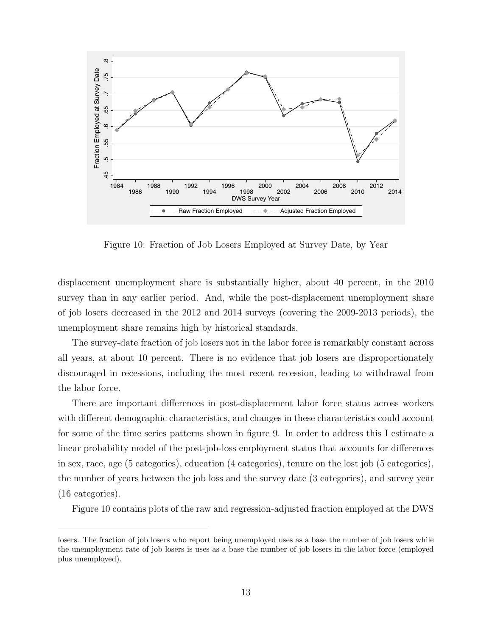

Figure 10: Fraction of Job Losers Employed at Survey Date, by Year

displacement unemployment share is substantially higher, about 40 percent, in the 2010 survey than in any earlier period. And, while the post-displacement unemployment share of job losers decreased in the 2012 and 2014 surveys (covering the 2009-2013 periods), the unemployment share remains high by historical standards.

The survey-date fraction of job losers not in the labor force is remarkably constant across all years, at about 10 percent. There is no evidence that job losers are disproportionately discouraged in recessions, including the most recent recession, leading to withdrawal from the labor force.

There are important differences in post-displacement labor force status across workers with different demographic characteristics, and changes in these characteristics could account for some of the time series patterns shown in figure 9. In order to address this I estimate a linear probability model of the post-job-loss employment status that accounts for differences in sex, race, age (5 categories), education (4 categories), tenure on the lost job (5 categories), the number of years between the job loss and the survey date (3 categories), and survey year (16 categories).

Figure 10 contains plots of the raw and regression-adjusted fraction employed at the DWS

losers. The fraction of job losers who report being unemployed uses as a base the number of job losers while the unemployment rate of job losers is uses as a base the number of job losers in the labor force (employed plus unemployed).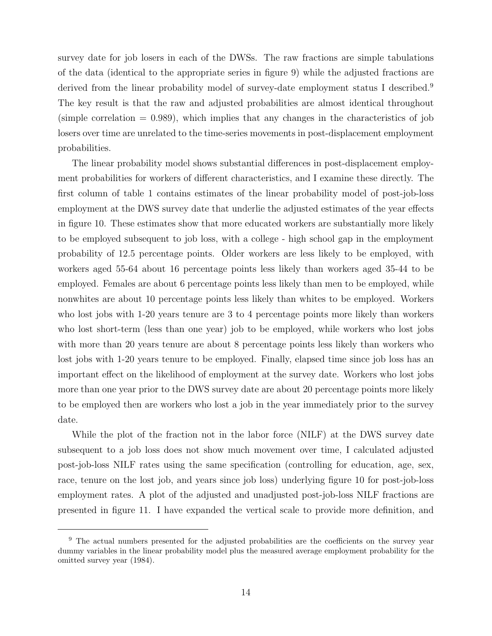survey date for job losers in each of the DWSs. The raw fractions are simple tabulations of the data (identical to the appropriate series in figure 9) while the adjusted fractions are derived from the linear probability model of survey-date employment status I described.<sup>9</sup> The key result is that the raw and adjusted probabilities are almost identical throughout  $(\text{simple correlation} = 0.989)$ , which implies that any changes in the characteristics of job losers over time are unrelated to the time-series movements in post-displacement employment probabilities.

The linear probability model shows substantial differences in post-displacement employment probabilities for workers of different characteristics, and I examine these directly. The first column of table 1 contains estimates of the linear probability model of post-job-loss employment at the DWS survey date that underlie the adjusted estimates of the year effects in figure 10. These estimates show that more educated workers are substantially more likely to be employed subsequent to job loss, with a college - high school gap in the employment probability of 12.5 percentage points. Older workers are less likely to be employed, with workers aged 55-64 about 16 percentage points less likely than workers aged 35-44 to be employed. Females are about 6 percentage points less likely than men to be employed, while nonwhites are about 10 percentage points less likely than whites to be employed. Workers who lost jobs with 1-20 years tenure are 3 to 4 percentage points more likely than workers who lost short-term (less than one year) job to be employed, while workers who lost jobs with more than 20 years tenure are about 8 percentage points less likely than workers who lost jobs with 1-20 years tenure to be employed. Finally, elapsed time since job loss has an important effect on the likelihood of employment at the survey date. Workers who lost jobs more than one year prior to the DWS survey date are about 20 percentage points more likely to be employed then are workers who lost a job in the year immediately prior to the survey date.

While the plot of the fraction not in the labor force (NILF) at the DWS survey date subsequent to a job loss does not show much movement over time, I calculated adjusted post-job-loss NILF rates using the same specification (controlling for education, age, sex, race, tenure on the lost job, and years since job loss) underlying figure 10 for post-job-loss employment rates. A plot of the adjusted and unadjusted post-job-loss NILF fractions are presented in figure 11. I have expanded the vertical scale to provide more definition, and

<sup>&</sup>lt;sup>9</sup> The actual numbers presented for the adjusted probabilities are the coefficients on the survey year dummy variables in the linear probability model plus the measured average employment probability for the omitted survey year (1984).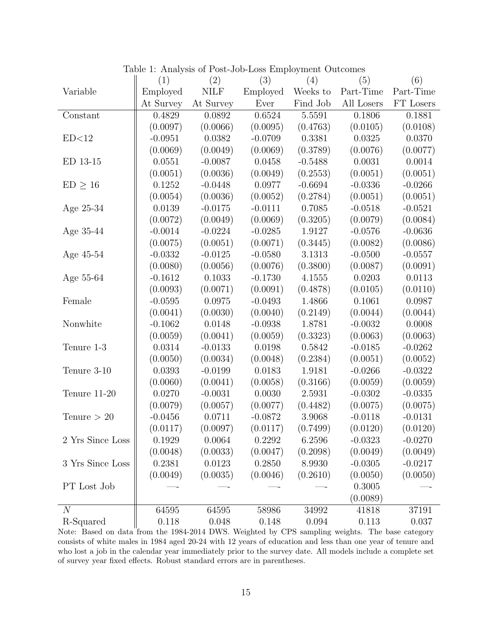|                  | (1)       | (2)         | (3)       | (4)        | (5)        | (6)       |
|------------------|-----------|-------------|-----------|------------|------------|-----------|
| Variable         | Employed  | <b>NILF</b> | Employed  | Weeks to   | Part-Time  | Part-Time |
|                  | At Survey | At Survey   | Ever      | Find Job   | All Losers | FT Losers |
| Constant         | 0.4829    | 0.0892      | 0.6524    | 5.5591     | 0.1806     | 0.1881    |
|                  | (0.0097)  | (0.0066)    | (0.0095)  | (0.4763)   | (0.0105)   | (0.0108)  |
| ED<12            | $-0.0951$ | 0.0382      | $-0.0709$ | 0.3381     | 0.0325     | 0.0370    |
|                  | (0.0069)  | (0.0049)    | (0.0069)  | (0.3789)   | (0.0076)   | (0.0077)  |
| ED 13-15         | 0.0551    | $-0.0087$   | 0.0458    | $-0.5488$  | 0.0031     | 0.0014    |
|                  | (0.0051)  | (0.0036)    | (0.0049)  | (0.2553)   | (0.0051)   | (0.0051)  |
| $ED \geq 16$     | 0.1252    | $-0.0448$   | 0.0977    | $-0.6694$  | $-0.0336$  | $-0.0266$ |
|                  | (0.0054)  | (0.0036)    | (0.0052)  | (0.2784)   | (0.0051)   | (0.0051)  |
| Age $25-34$      | 0.0139    | $-0.0175$   | $-0.0111$ | $0.7085\,$ | $-0.0518$  | $-0.0521$ |
|                  | (0.0072)  | (0.0049)    | (0.0069)  | (0.3205)   | (0.0079)   | (0.0084)  |
| Age 35-44        | $-0.0014$ | $-0.0224$   | $-0.0285$ | 1.9127     | $-0.0576$  | $-0.0636$ |
|                  | (0.0075)  | (0.0051)    | (0.0071)  | (0.3445)   | (0.0082)   | (0.0086)  |
| Age 45-54        | $-0.0332$ | $-0.0125$   | $-0.0580$ | 3.1313     | $-0.0500$  | $-0.0557$ |
|                  | (0.0080)  | (0.0056)    | (0.0076)  | (0.3800)   | (0.0087)   | (0.0091)  |
| Age 55-64        | $-0.1612$ | 0.1033      | $-0.1730$ | 4.1555     | 0.0203     | 0.0113    |
|                  | (0.0093)  | (0.0071)    | (0.0091)  | (0.4878)   | (0.0105)   | (0.0110)  |
| Female           | $-0.0595$ | 0.0975      | $-0.0493$ | 1.4866     | 0.1061     | 0.0987    |
|                  | (0.0041)  | (0.0030)    | (0.0040)  | (0.2149)   | (0.0044)   | (0.0044)  |
| Nonwhite         | $-0.1062$ | 0.0148      | $-0.0938$ | 1.8781     | $-0.0032$  | 0.0008    |
|                  | (0.0059)  | (0.0041)    | (0.0059)  | (0.3323)   | (0.0063)   | (0.0063)  |
| Tenure 1-3       | 0.0314    | $-0.0133$   | 0.0198    | 0.5842     | $-0.0185$  | $-0.0262$ |
|                  | (0.0050)  | (0.0034)    | (0.0048)  | (0.2384)   | (0.0051)   | (0.0052)  |
| Tenure 3-10      | 0.0393    | $-0.0199$   | 0.0183    | 1.9181     | $-0.0266$  | $-0.0322$ |
|                  | (0.0060)  | (0.0041)    | (0.0058)  | (0.3166)   | (0.0059)   | (0.0059)  |
| Tenure 11-20     | 0.0270    | $-0.0031$   | 0.0030    | 2.5931     | $-0.0302$  | $-0.0335$ |
|                  | (0.0079)  | (0.0057)    | (0.0077)  | (0.4482)   | (0.0075)   | (0.0075)  |
| Tenure $> 20$    | $-0.0456$ | 0.0711      | $-0.0872$ | 3.9068     | $-0.0118$  | $-0.0131$ |
|                  | (0.0117)  | (0.0097)    | (0.0117)  | (0.7499)   | (0.0120)   | (0.0120)  |
| 2 Yrs Since Loss | 0.1929    | 0.0064      | 0.2292    | 6.2596     | $-0.0323$  | $-0.0270$ |
|                  | (0.0048)  | (0.0033)    | (0.0047)  | (0.2098)   | (0.0049)   | (0.0049)  |
| 3 Yrs Since Loss | 0.2381    | 0.0123      | 0.2850    | 8.9930     | $-0.0305$  | $-0.0217$ |
|                  | (0.0049)  | (0.0035)    | (0.0046)  | (0.2610)   | (0.0050)   | (0.0050)  |
| PT Lost Job      |           |             |           |            | 0.3005     |           |
|                  |           |             |           |            | (0.0089)   |           |
| $\overline{N}$   | 64595     | 64595       | 58986     | 34992      | 41818      | 37191     |
| R-Squared        | 0.118     | 0.048       | 0.148     | 0.094      | 0.113      | 0.037     |

Table 1: Analysis of Post-Job-Loss Employment Outcomes

Note: Based on data from the 1984-2014 DWS. Weighted by CPS sampling weights. The base category consists of white males in 1984 aged 20-24 with 12 years of education and less than one year of tenure and who lost a job in the calendar year immediately prior to the survey date. All models include a complete set of survey year fixed effects. Robust standard errors are in parentheses.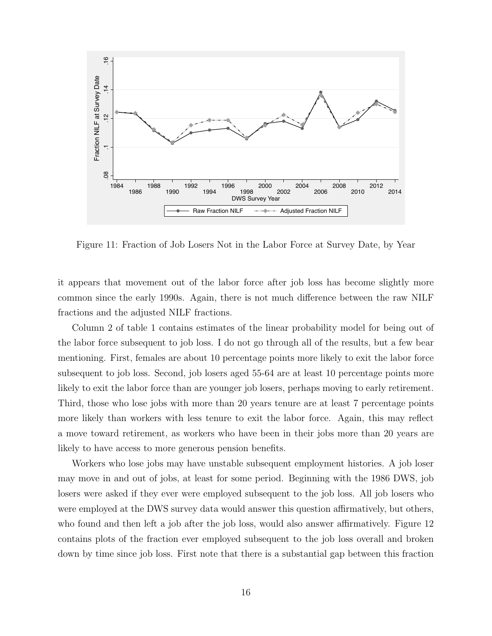

Figure 11: Fraction of Job Losers Not in the Labor Force at Survey Date, by Year

it appears that movement out of the labor force after job loss has become slightly more common since the early 1990s. Again, there is not much difference between the raw NILF fractions and the adjusted NILF fractions.

Column 2 of table 1 contains estimates of the linear probability model for being out of the labor force subsequent to job loss. I do not go through all of the results, but a few bear mentioning. First, females are about 10 percentage points more likely to exit the labor force subsequent to job loss. Second, job losers aged 55-64 are at least 10 percentage points more likely to exit the labor force than are younger job losers, perhaps moving to early retirement. Third, those who lose jobs with more than 20 years tenure are at least 7 percentage points more likely than workers with less tenure to exit the labor force. Again, this may reflect a move toward retirement, as workers who have been in their jobs more than 20 years are likely to have access to more generous pension benefits.

Workers who lose jobs may have unstable subsequent employment histories. A job loser may move in and out of jobs, at least for some period. Beginning with the 1986 DWS, job losers were asked if they ever were employed subsequent to the job loss. All job losers who were employed at the DWS survey data would answer this question affirmatively, but others, who found and then left a job after the job loss, would also answer affirmatively. Figure 12 contains plots of the fraction ever employed subsequent to the job loss overall and broken down by time since job loss. First note that there is a substantial gap between this fraction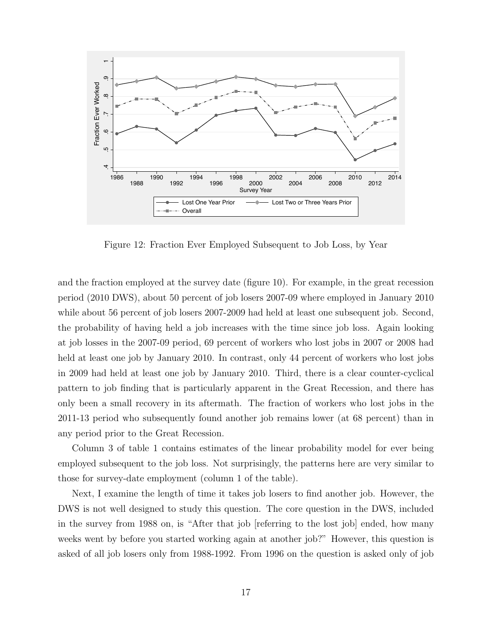

Figure 12: Fraction Ever Employed Subsequent to Job Loss, by Year

and the fraction employed at the survey date (figure 10). For example, in the great recession period (2010 DWS), about 50 percent of job losers 2007-09 where employed in January 2010 while about 56 percent of job losers 2007-2009 had held at least one subsequent job. Second, the probability of having held a job increases with the time since job loss. Again looking at job losses in the 2007-09 period, 69 percent of workers who lost jobs in 2007 or 2008 had held at least one job by January 2010. In contrast, only 44 percent of workers who lost jobs in 2009 had held at least one job by January 2010. Third, there is a clear counter-cyclical pattern to job finding that is particularly apparent in the Great Recession, and there has only been a small recovery in its aftermath. The fraction of workers who lost jobs in the 2011-13 period who subsequently found another job remains lower (at 68 percent) than in any period prior to the Great Recession.

Column 3 of table 1 contains estimates of the linear probability model for ever being employed subsequent to the job loss. Not surprisingly, the patterns here are very similar to those for survey-date employment (column 1 of the table).

Next, I examine the length of time it takes job losers to find another job. However, the DWS is not well designed to study this question. The core question in the DWS, included in the survey from 1988 on, is "After that job [referring to the lost job] ended, how many weeks went by before you started working again at another job?" However, this question is asked of all job losers only from 1988-1992. From 1996 on the question is asked only of job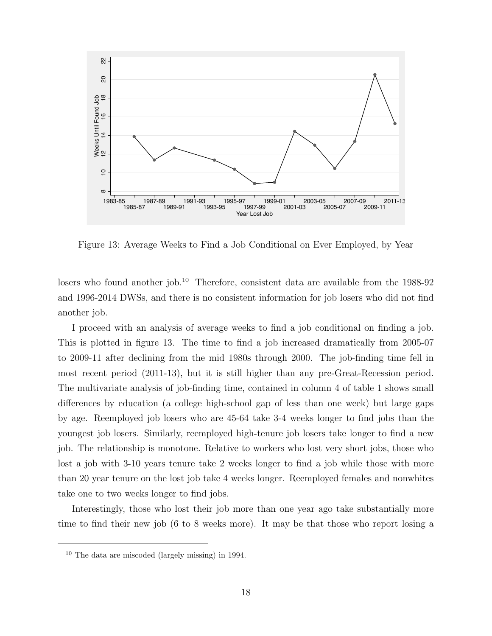

Figure 13: Average Weeks to Find a Job Conditional on Ever Employed, by Year

losers who found another job.<sup>10</sup> Therefore, consistent data are available from the 1988-92 and 1996-2014 DWSs, and there is no consistent information for job losers who did not find another job.

I proceed with an analysis of average weeks to find a job conditional on finding a job. This is plotted in figure 13. The time to find a job increased dramatically from 2005-07 to 2009-11 after declining from the mid 1980s through 2000. The job-finding time fell in most recent period (2011-13), but it is still higher than any pre-Great-Recession period. The multivariate analysis of job-finding time, contained in column 4 of table 1 shows small differences by education (a college high-school gap of less than one week) but large gaps by age. Reemployed job losers who are 45-64 take 3-4 weeks longer to find jobs than the youngest job losers. Similarly, reemployed high-tenure job losers take longer to find a new job. The relationship is monotone. Relative to workers who lost very short jobs, those who lost a job with 3-10 years tenure take 2 weeks longer to find a job while those with more than 20 year tenure on the lost job take 4 weeks longer. Reemployed females and nonwhites take one to two weeks longer to find jobs.

Interestingly, those who lost their job more than one year ago take substantially more time to find their new job (6 to 8 weeks more). It may be that those who report losing a

 $10$  The data are miscoded (largely missing) in 1994.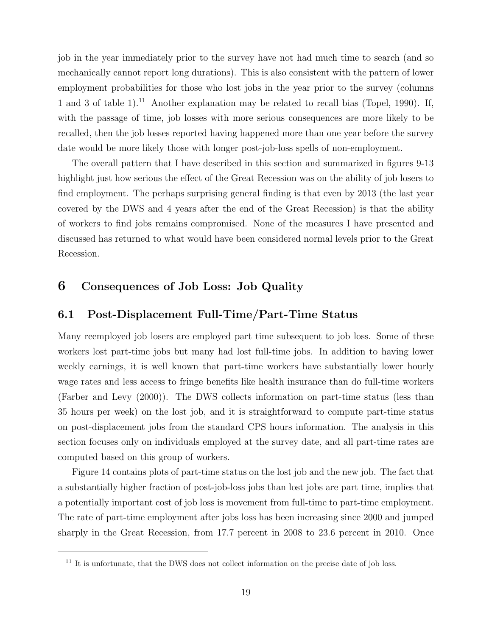job in the year immediately prior to the survey have not had much time to search (and so mechanically cannot report long durations). This is also consistent with the pattern of lower employment probabilities for those who lost jobs in the year prior to the survey (columns 1 and 3 of table 1).<sup>11</sup> Another explanation may be related to recall bias (Topel, 1990). If, with the passage of time, job losses with more serious consequences are more likely to be recalled, then the job losses reported having happened more than one year before the survey date would be more likely those with longer post-job-loss spells of non-employment.

The overall pattern that I have described in this section and summarized in figures 9-13 highlight just how serious the effect of the Great Recession was on the ability of job losers to find employment. The perhaps surprising general finding is that even by 2013 (the last year covered by the DWS and 4 years after the end of the Great Recession) is that the ability of workers to find jobs remains compromised. None of the measures I have presented and discussed has returned to what would have been considered normal levels prior to the Great Recession.

### 6 Consequences of Job Loss: Job Quality

#### 6.1 Post-Displacement Full-Time/Part-Time Status

Many reemployed job losers are employed part time subsequent to job loss. Some of these workers lost part-time jobs but many had lost full-time jobs. In addition to having lower weekly earnings, it is well known that part-time workers have substantially lower hourly wage rates and less access to fringe benefits like health insurance than do full-time workers (Farber and Levy (2000)). The DWS collects information on part-time status (less than 35 hours per week) on the lost job, and it is straightforward to compute part-time status on post-displacement jobs from the standard CPS hours information. The analysis in this section focuses only on individuals employed at the survey date, and all part-time rates are computed based on this group of workers.

Figure 14 contains plots of part-time status on the lost job and the new job. The fact that a substantially higher fraction of post-job-loss jobs than lost jobs are part time, implies that a potentially important cost of job loss is movement from full-time to part-time employment. The rate of part-time employment after jobs loss has been increasing since 2000 and jumped sharply in the Great Recession, from 17.7 percent in 2008 to 23.6 percent in 2010. Once

<sup>&</sup>lt;sup>11</sup> It is unfortunate, that the DWS does not collect information on the precise date of job loss.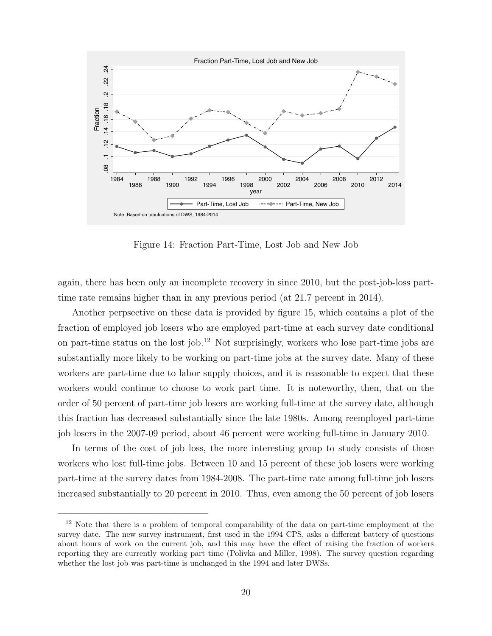

Figure 14: Fraction Part-Time, Lost Job and New Job

again, there has been only an incomplete recovery in since 2010, but the post-job-loss parttime rate remains higher than in any previous period (at 21.7 percent in 2014).

Another perpsective on these data is provided by figure 15, which contains a plot of the fraction of employed job losers who are employed part-time at each survey date conditional on part-time status on the lost job.<sup>12</sup> Not surprisingly, workers who lose part-time jobs are substantially more likely to be working on part-time jobs at the survey date. Many of these workers are part-time due to labor supply choices, and it is reasonable to expect that these workers would continue to choose to work part time. It is noteworthy, then, that on the order of 50 percent of part-time job losers are working full-time at the survey date, although this fraction has decreased substantially since the late 1980s. Among reemployed part-time job losers in the 2007-09 period, about 46 percent were working full-time in January 2010.

In terms of the cost of job loss, the more interesting group to study consists of those workers who lost full-time jobs. Between 10 and 15 percent of these job losers were working part-time at the survey dates from 1984-2008. The part-time rate among full-time job losers increased substantially to 20 percent in 2010. Thus, even among the 50 percent of job losers

<sup>&</sup>lt;sup>12</sup> Note that there is a problem of temporal comparability of the data on part-time employment at the survey date. The new survey instrument, first used in the 1994 CPS, asks a different battery of questions about hours of work on the current job, and this may have the effect of raising the fraction of workers reporting they are currently working part time (Polivka and Miller, 1998). The survey question regarding whether the lost job was part-time is unchanged in the 1994 and later DWSs.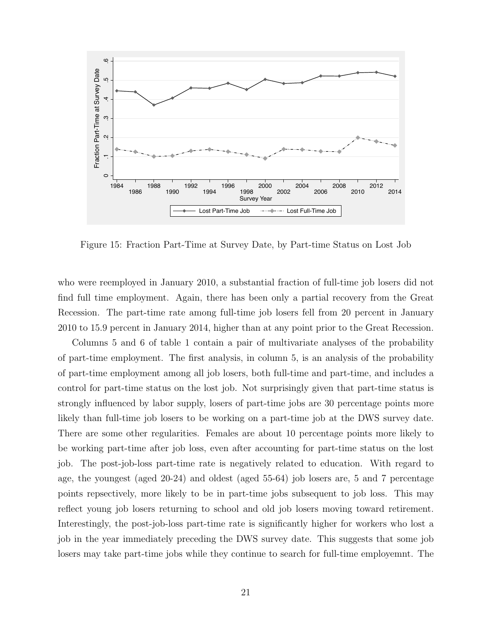

Figure 15: Fraction Part-Time at Survey Date, by Part-time Status on Lost Job

who were reemployed in January 2010, a substantial fraction of full-time job losers did not find full time employment. Again, there has been only a partial recovery from the Great Recession. The part-time rate among full-time job losers fell from 20 percent in January 2010 to 15.9 percent in January 2014, higher than at any point prior to the Great Recession.

Columns 5 and 6 of table 1 contain a pair of multivariate analyses of the probability of part-time employment. The first analysis, in column 5, is an analysis of the probability of part-time employment among all job losers, both full-time and part-time, and includes a control for part-time status on the lost job. Not surprisingly given that part-time status is strongly influenced by labor supply, losers of part-time jobs are 30 percentage points more likely than full-time job losers to be working on a part-time job at the DWS survey date. There are some other regularities. Females are about 10 percentage points more likely to be working part-time after job loss, even after accounting for part-time status on the lost job. The post-job-loss part-time rate is negatively related to education. With regard to age, the youngest (aged 20-24) and oldest (aged 55-64) job losers are, 5 and 7 percentage points repsectively, more likely to be in part-time jobs subsequent to job loss. This may reflect young job losers returning to school and old job losers moving toward retirement. Interestingly, the post-job-loss part-time rate is significantly higher for workers who lost a job in the year immediately preceding the DWS survey date. This suggests that some job losers may take part-time jobs while they continue to search for full-time employemnt. The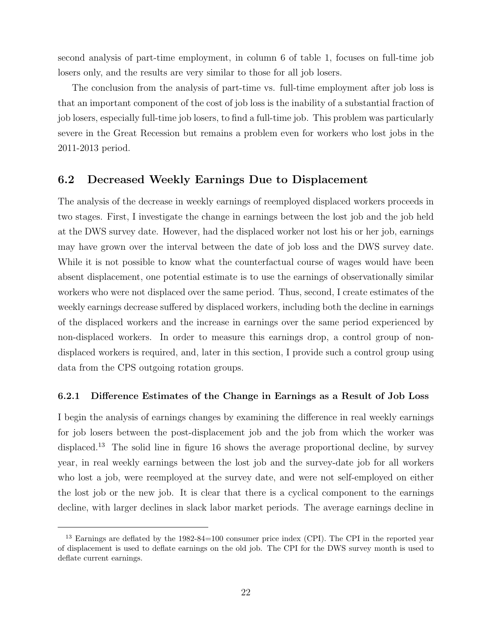second analysis of part-time employment, in column 6 of table 1, focuses on full-time job losers only, and the results are very similar to those for all job losers.

The conclusion from the analysis of part-time vs. full-time employment after job loss is that an important component of the cost of job loss is the inability of a substantial fraction of job losers, especially full-time job losers, to find a full-time job. This problem was particularly severe in the Great Recession but remains a problem even for workers who lost jobs in the 2011-2013 period.

#### 6.2 Decreased Weekly Earnings Due to Displacement

The analysis of the decrease in weekly earnings of reemployed displaced workers proceeds in two stages. First, I investigate the change in earnings between the lost job and the job held at the DWS survey date. However, had the displaced worker not lost his or her job, earnings may have grown over the interval between the date of job loss and the DWS survey date. While it is not possible to know what the counterfactual course of wages would have been absent displacement, one potential estimate is to use the earnings of observationally similar workers who were not displaced over the same period. Thus, second, I create estimates of the weekly earnings decrease suffered by displaced workers, including both the decline in earnings of the displaced workers and the increase in earnings over the same period experienced by non-displaced workers. In order to measure this earnings drop, a control group of nondisplaced workers is required, and, later in this section, I provide such a control group using data from the CPS outgoing rotation groups.

#### 6.2.1 Difference Estimates of the Change in Earnings as a Result of Job Loss

I begin the analysis of earnings changes by examining the difference in real weekly earnings for job losers between the post-displacement job and the job from which the worker was displaced.<sup>13</sup> The solid line in figure 16 shows the average proportional decline, by survey year, in real weekly earnings between the lost job and the survey-date job for all workers who lost a job, were reemployed at the survey date, and were not self-employed on either the lost job or the new job. It is clear that there is a cyclical component to the earnings decline, with larger declines in slack labor market periods. The average earnings decline in

<sup>&</sup>lt;sup>13</sup> Earnings are deflated by the 1982-84=100 consumer price index (CPI). The CPI in the reported year of displacement is used to deflate earnings on the old job. The CPI for the DWS survey month is used to deflate current earnings.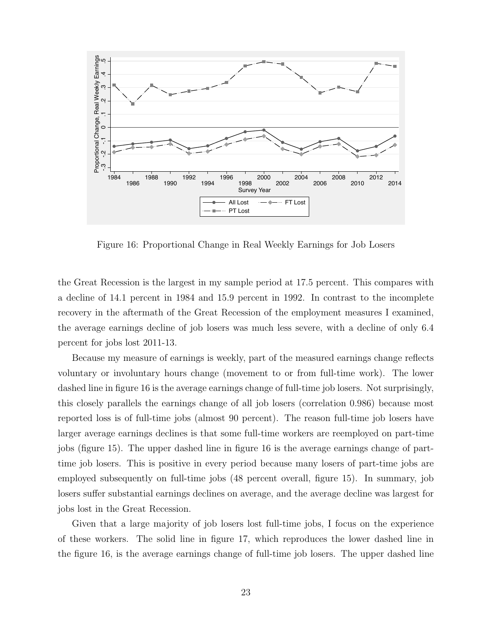

Figure 16: Proportional Change in Real Weekly Earnings for Job Losers

the Great Recession is the largest in my sample period at 17.5 percent. This compares with a decline of 14.1 percent in 1984 and 15.9 percent in 1992. In contrast to the incomplete recovery in the aftermath of the Great Recession of the employment measures I examined, the average earnings decline of job losers was much less severe, with a decline of only 6.4 percent for jobs lost 2011-13.

Because my measure of earnings is weekly, part of the measured earnings change reflects voluntary or involuntary hours change (movement to or from full-time work). The lower dashed line in figure 16 is the average earnings change of full-time job losers. Not surprisingly, this closely parallels the earnings change of all job losers (correlation 0.986) because most reported loss is of full-time jobs (almost 90 percent). The reason full-time job losers have larger average earnings declines is that some full-time workers are reemployed on part-time jobs (figure 15). The upper dashed line in figure 16 is the average earnings change of parttime job losers. This is positive in every period because many losers of part-time jobs are employed subsequently on full-time jobs (48 percent overall, figure 15). In summary, job losers suffer substantial earnings declines on average, and the average decline was largest for jobs lost in the Great Recession.

Given that a large majority of job losers lost full-time jobs, I focus on the experience of these workers. The solid line in figure 17, which reproduces the lower dashed line in the figure 16, is the average earnings change of full-time job losers. The upper dashed line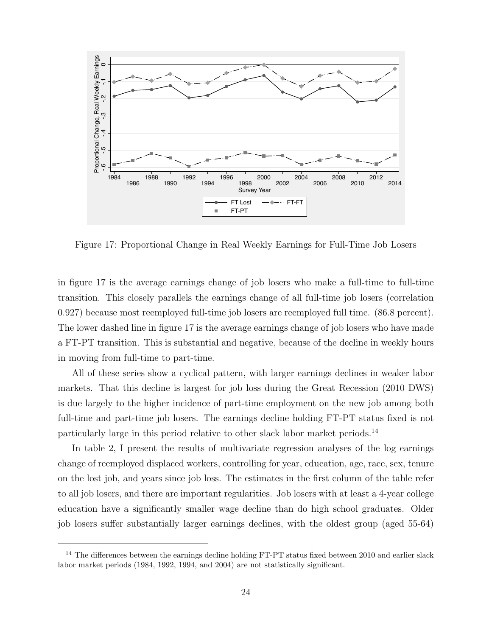

Figure 17: Proportional Change in Real Weekly Earnings for Full-Time Job Losers

in figure 17 is the average earnings change of job losers who make a full-time to full-time transition. This closely parallels the earnings change of all full-time job losers (correlation 0.927) because most reemployed full-time job losers are reemployed full time. (86.8 percent). The lower dashed line in figure 17 is the average earnings change of job losers who have made a FT-PT transition. This is substantial and negative, because of the decline in weekly hours in moving from full-time to part-time.

All of these series show a cyclical pattern, with larger earnings declines in weaker labor markets. That this decline is largest for job loss during the Great Recession (2010 DWS) is due largely to the higher incidence of part-time employment on the new job among both full-time and part-time job losers. The earnings decline holding FT-PT status fixed is not particularly large in this period relative to other slack labor market periods.<sup>14</sup>

In table 2, I present the results of multivariate regression analyses of the log earnings change of reemployed displaced workers, controlling for year, education, age, race, sex, tenure on the lost job, and years since job loss. The estimates in the first column of the table refer to all job losers, and there are important regularities. Job losers with at least a 4-year college education have a significantly smaller wage decline than do high school graduates. Older job losers suffer substantially larger earnings declines, with the oldest group (aged 55-64)

<sup>&</sup>lt;sup>14</sup> The differences between the earnings decline holding FT-PT status fixed between 2010 and earlier slack labor market periods (1984, 1992, 1994, and 2004) are not statistically significant.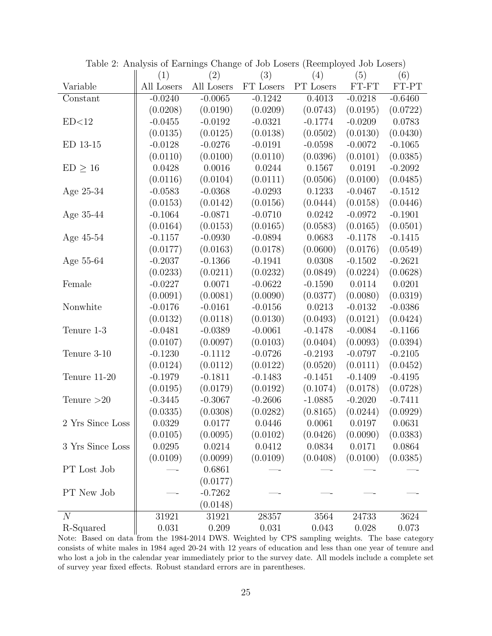|                  | (1)        | (2)        | (3)       | (4)       | (5)       | (6)       |
|------------------|------------|------------|-----------|-----------|-----------|-----------|
| Variable         | All Losers | All Losers | FT Losers | PT Losers | FT-FT     | FT-PT     |
| Constant         | $-0.0240$  | $-0.0065$  | $-0.1242$ | 0.4013    | $-0.0218$ | $-0.6460$ |
|                  | (0.0208)   | (0.0190)   | (0.0209)  | (0.0743)  | (0.0195)  | (0.0722)  |
| ED<12            | $-0.0455$  | $-0.0192$  | $-0.0321$ | $-0.1774$ | $-0.0209$ | 0.0783    |
|                  | (0.0135)   | (0.0125)   | (0.0138)  | (0.0502)  | (0.0130)  | (0.0430)  |
| ED 13-15         | $-0.0128$  | $-0.0276$  | $-0.0191$ | $-0.0598$ | $-0.0072$ | $-0.1065$ |
|                  | (0.0110)   | (0.0100)   | (0.0110)  | (0.0396)  | (0.0101)  | (0.0385)  |
| $ED \geq 16$     | 0.0428     | 0.0016     | 0.0244    | 0.1567    | 0.0191    | $-0.2092$ |
|                  | (0.0116)   | (0.0104)   | (0.0111)  | (0.0506)  | (0.0100)  | (0.0485)  |
| Age 25-34        | $-0.0583$  | $-0.0368$  | $-0.0293$ | 0.1233    | $-0.0467$ | $-0.1512$ |
|                  | (0.0153)   | (0.0142)   | (0.0156)  | (0.0444)  | (0.0158)  | (0.0446)  |
| Age 35-44        | $-0.1064$  | $-0.0871$  | $-0.0710$ | 0.0242    | $-0.0972$ | $-0.1901$ |
|                  | (0.0164)   | (0.0153)   | (0.0165)  | (0.0583)  | (0.0165)  | (0.0501)  |
| Age 45-54        | $-0.1157$  | $-0.0930$  | $-0.0894$ | 0.0683    | $-0.1178$ | $-0.1415$ |
|                  | (0.0177)   | (0.0163)   | (0.0178)  | (0.0600)  | (0.0176)  | (0.0549)  |
| Age 55-64        | $-0.2037$  | $-0.1366$  | $-0.1941$ | 0.0308    | $-0.1502$ | $-0.2621$ |
|                  | (0.0233)   | (0.0211)   | (0.0232)  | (0.0849)  | (0.0224)  | (0.0628)  |
| Female           | $-0.0227$  | 0.0071     | $-0.0622$ | $-0.1590$ | 0.0114    | 0.0201    |
|                  | (0.0091)   | (0.0081)   | (0.0090)  | (0.0377)  | (0.0080)  | (0.0319)  |
| Nonwhite         | $-0.0176$  | $-0.0161$  | $-0.0156$ | 0.0213    | $-0.0132$ | $-0.0386$ |
|                  | (0.0132)   | (0.0118)   | (0.0130)  | (0.0493)  | (0.0121)  | (0.0424)  |
| Tenure 1-3       | $-0.0481$  | $-0.0389$  | $-0.0061$ | $-0.1478$ | $-0.0084$ | $-0.1166$ |
|                  | (0.0107)   | (0.0097)   | (0.0103)  | (0.0404)  | (0.0093)  | (0.0394)  |
| Tenure 3-10      | $-0.1230$  | $-0.1112$  | $-0.0726$ | $-0.2193$ | $-0.0797$ | $-0.2105$ |
|                  | (0.0124)   | (0.0112)   | (0.0122)  | (0.0520)  | (0.0111)  | (0.0452)  |
| Tenure 11-20     | $-0.1979$  | $-0.1811$  | $-0.1483$ | $-0.1451$ | $-0.1409$ | $-0.4195$ |
|                  | (0.0195)   | (0.0179)   | (0.0192)  | (0.1074)  | (0.0178)  | (0.0728)  |
| Tenure $>20$     | $-0.3445$  | $-0.3067$  | $-0.2606$ | $-1.0885$ | $-0.2020$ | $-0.7411$ |
|                  | (0.0335)   | (0.0308)   | (0.0282)  | (0.8165)  | (0.0244)  | (0.0929)  |
| 2 Yrs Since Loss | 0.0329     | 0.0177     | 0.0446    | 0.0061    | 0.0197    | 0.0631    |
|                  | (0.0105)   | (0.0095)   | (0.0102)  | (0.0426)  | (0.0090)  | (0.0383)  |
| 3 Yrs Since Loss | 0.0295     | 0.0214     | 0.0412    | 0.0834    | 0.0171    | 0.0864    |
|                  | (0.0109)   | (0.0099)   | (0.0109)  | (0.0408)  | (0.0100)  | (0.0385)  |
| PT Lost Job      |            | 0.6861     |           |           |           |           |
|                  |            | (0.0177)   |           |           |           |           |
| PT New Job       |            | $-0.7262$  |           |           |           |           |
|                  |            | (0.0148)   |           |           |           |           |
| $\overline{N}$   | 31921      | 31921      | 28357     | 3564      | 24733     | 3624      |
| R-Squared        | 0.031      | 0.209      | 0.031     | 0.043     | 0.028     | 0.073     |

Table 2: Analysis of Earnings Change of Job Losers (Reemployed Job Losers)

Note: Based on data from the 1984-2014 DWS. Weighted by CPS sampling weights. The base category consists of white males in 1984 aged 20-24 with 12 years of education and less than one year of tenure and who lost a job in the calendar year immediately prior to the survey date. All models include a complete set of survey year fixed effects. Robust standard errors are in parentheses.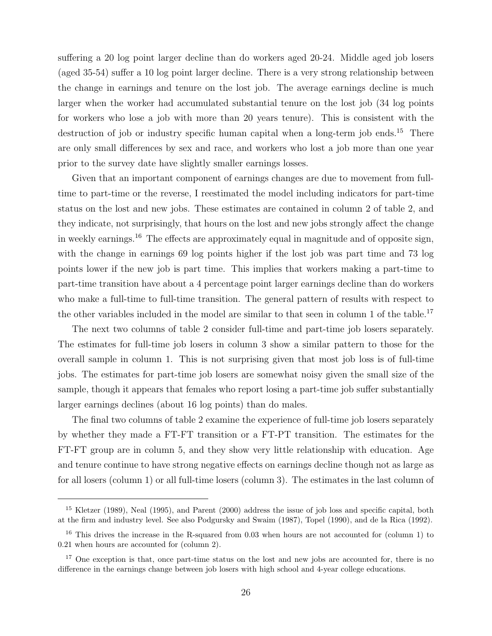suffering a 20 log point larger decline than do workers aged 20-24. Middle aged job losers (aged 35-54) suffer a 10 log point larger decline. There is a very strong relationship between the change in earnings and tenure on the lost job. The average earnings decline is much larger when the worker had accumulated substantial tenure on the lost job (34 log points for workers who lose a job with more than 20 years tenure). This is consistent with the destruction of job or industry specific human capital when a long-term job ends.<sup>15</sup> There are only small differences by sex and race, and workers who lost a job more than one year prior to the survey date have slightly smaller earnings losses.

Given that an important component of earnings changes are due to movement from fulltime to part-time or the reverse, I reestimated the model including indicators for part-time status on the lost and new jobs. These estimates are contained in column 2 of table 2, and they indicate, not surprisingly, that hours on the lost and new jobs strongly affect the change in weekly earnings.<sup>16</sup> The effects are approximately equal in magnitude and of opposite sign, with the change in earnings 69 log points higher if the lost job was part time and 73 log points lower if the new job is part time. This implies that workers making a part-time to part-time transition have about a 4 percentage point larger earnings decline than do workers who make a full-time to full-time transition. The general pattern of results with respect to the other variables included in the model are similar to that seen in column 1 of the table.<sup>17</sup>

The next two columns of table 2 consider full-time and part-time job losers separately. The estimates for full-time job losers in column 3 show a similar pattern to those for the overall sample in column 1. This is not surprising given that most job loss is of full-time jobs. The estimates for part-time job losers are somewhat noisy given the small size of the sample, though it appears that females who report losing a part-time job suffer substantially larger earnings declines (about 16 log points) than do males.

The final two columns of table 2 examine the experience of full-time job losers separately by whether they made a FT-FT transition or a FT-PT transition. The estimates for the FT-FT group are in column 5, and they show very little relationship with education. Age and tenure continue to have strong negative effects on earnings decline though not as large as for all losers (column 1) or all full-time losers (column 3). The estimates in the last column of

<sup>&</sup>lt;sup>15</sup> Kletzer (1989), Neal (1995), and Parent (2000) address the issue of job loss and specific capital, both at the firm and industry level. See also Podgursky and Swaim (1987), Topel (1990), and de la Rica (1992).

<sup>&</sup>lt;sup>16</sup> This drives the increase in the R-squared from 0.03 when hours are not accounted for (column 1) to 0.21 when hours are accounted for (column 2).

<sup>&</sup>lt;sup>17</sup> One exception is that, once part-time status on the lost and new jobs are accounted for, there is no difference in the earnings change between job losers with high school and 4-year college educations.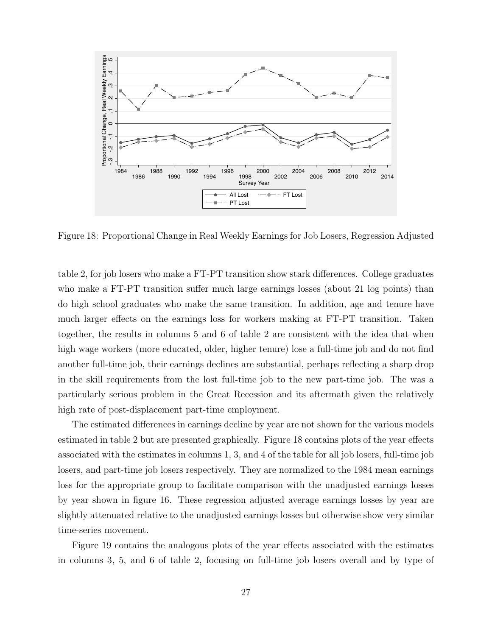

Figure 18: Proportional Change in Real Weekly Earnings for Job Losers, Regression Adjusted

table 2, for job losers who make a FT-PT transition show stark differences. College graduates who make a FT-PT transition suffer much large earnings losses (about 21 log points) than do high school graduates who make the same transition. In addition, age and tenure have much larger effects on the earnings loss for workers making at FT-PT transition. Taken together, the results in columns 5 and 6 of table 2 are consistent with the idea that when high wage workers (more educated, older, higher tenure) lose a full-time job and do not find another full-time job, their earnings declines are substantial, perhaps reflecting a sharp drop in the skill requirements from the lost full-time job to the new part-time job. The was a particularly serious problem in the Great Recession and its aftermath given the relatively high rate of post-displacement part-time employment.

The estimated differences in earnings decline by year are not shown for the various models estimated in table 2 but are presented graphically. Figure 18 contains plots of the year effects associated with the estimates in columns 1, 3, and 4 of the table for all job losers, full-time job losers, and part-time job losers respectively. They are normalized to the 1984 mean earnings loss for the appropriate group to facilitate comparison with the unadjusted earnings losses by year shown in figure 16. These regression adjusted average earnings losses by year are slightly attenuated relative to the unadjusted earnings losses but otherwise show very similar time-series movement.

Figure 19 contains the analogous plots of the year effects associated with the estimates in columns 3, 5, and 6 of table 2, focusing on full-time job losers overall and by type of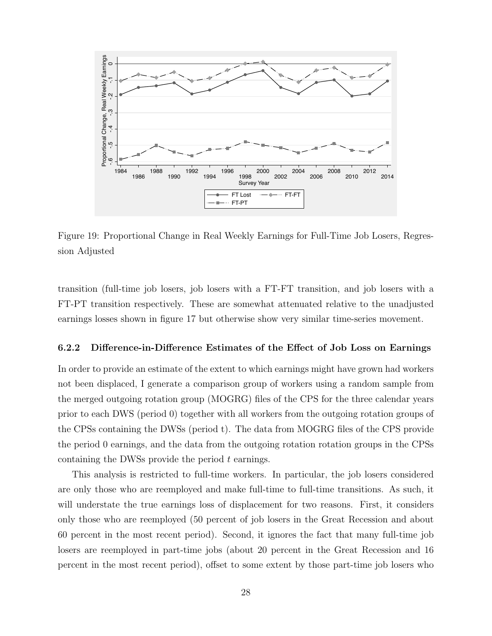

Figure 19: Proportional Change in Real Weekly Earnings for Full-Time Job Losers, Regression Adjusted

transition (full-time job losers, job losers with a FT-FT transition, and job losers with a FT-PT transition respectively. These are somewhat attenuated relative to the unadjusted earnings losses shown in figure 17 but otherwise show very similar time-series movement.

#### 6.2.2 Difference-in-Difference Estimates of the Effect of Job Loss on Earnings

In order to provide an estimate of the extent to which earnings might have grown had workers not been displaced, I generate a comparison group of workers using a random sample from the merged outgoing rotation group (MOGRG) files of the CPS for the three calendar years prior to each DWS (period 0) together with all workers from the outgoing rotation groups of the CPSs containing the DWSs (period t). The data from MOGRG files of the CPS provide the period 0 earnings, and the data from the outgoing rotation rotation groups in the CPSs containing the DWSs provide the period t earnings.

This analysis is restricted to full-time workers. In particular, the job losers considered are only those who are reemployed and make full-time to full-time transitions. As such, it will understate the true earnings loss of displacement for two reasons. First, it considers only those who are reemployed (50 percent of job losers in the Great Recession and about 60 percent in the most recent period). Second, it ignores the fact that many full-time job losers are reemployed in part-time jobs (about 20 percent in the Great Recession and 16 percent in the most recent period), offset to some extent by those part-time job losers who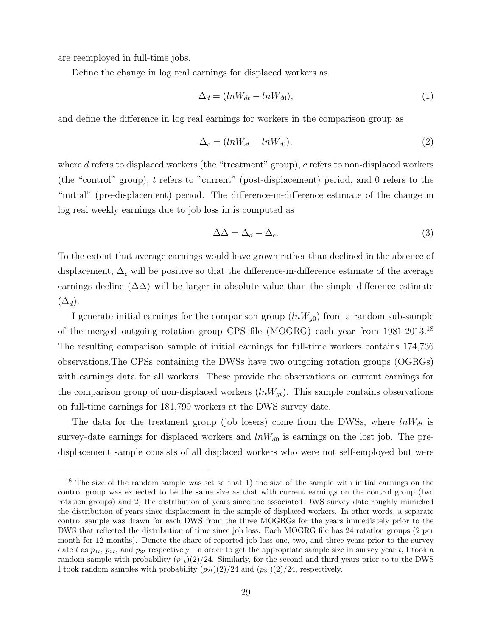are reemployed in full-time jobs.

Define the change in log real earnings for displaced workers as

$$
\Delta_d = (lnW_{dt} - lnW_{d0}),\tag{1}
$$

and define the difference in log real earnings for workers in the comparison group as

$$
\Delta_c = (lnW_{ct} - lnW_{c0}),\tag{2}
$$

where d refers to displaced workers (the "treatment" group),  $c$  refers to non-displaced workers (the "control" group), t refers to "current" (post-displacement) period, and 0 refers to the "initial" (pre-displacement) period. The difference-in-difference estimate of the change in log real weekly earnings due to job loss in is computed as

$$
\Delta \Delta = \Delta_d - \Delta_c. \tag{3}
$$

To the extent that average earnings would have grown rather than declined in the absence of displacement,  $\Delta_c$  will be positive so that the difference-in-difference estimate of the average earnings decline  $(\Delta \Delta)$  will be larger in absolute value than the simple difference estimate  $(\Delta_d)$ .

I generate initial earnings for the comparison group  $(lnW_{g0})$  from a random sub-sample of the merged outgoing rotation group CPS file (MOGRG) each year from 1981-2013.<sup>18</sup> The resulting comparison sample of initial earnings for full-time workers contains 174,736 observations.The CPSs containing the DWSs have two outgoing rotation groups (OGRGs) with earnings data for all workers. These provide the observations on current earnings for the comparison group of non-displaced workers  $(lnW_{qt})$ . This sample contains observations on full-time earnings for 181,799 workers at the DWS survey date.

The data for the treatment group (job losers) come from the DWSs, where  $lnW_{dt}$  is survey-date earnings for displaced workers and  $lnW_{d0}$  is earnings on the lost job. The predisplacement sample consists of all displaced workers who were not self-employed but were

<sup>&</sup>lt;sup>18</sup> The size of the random sample was set so that 1) the size of the sample with initial earnings on the control group was expected to be the same size as that with current earnings on the control group (two rotation groups) and 2) the distribution of years since the associated DWS survey date roughly mimicked the distribution of years since displacement in the sample of displaced workers. In other words, a separate control sample was drawn for each DWS from the three MOGRGs for the years immediately prior to the DWS that reflected the distribution of time since job loss. Each MOGRG file has 24 rotation groups (2 per month for 12 months). Denote the share of reported job loss one, two, and three years prior to the survey date t as  $p_{1t}$ ,  $p_{2t}$ , and  $p_{3t}$  respectively. In order to get the appropriate sample size in survey year t, I took a random sample with probability  $(p_{1t})(2)/24$ . Similarly, for the second and third years prior to to the DWS I took random samples with probability  $(p_{2t})(2)/24$  and  $(p_{3t})(2)/24$ , respectively.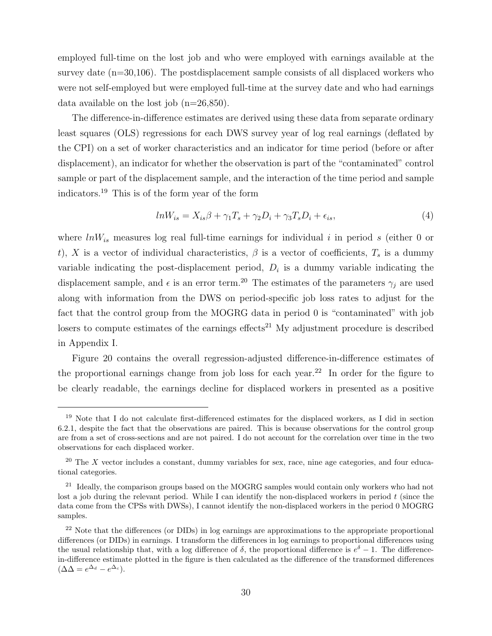employed full-time on the lost job and who were employed with earnings available at the survey date (n=30,106). The postdisplacement sample consists of all displaced workers who were not self-employed but were employed full-time at the survey date and who had earnings data available on the lost job  $(n=26,850)$ .

The difference-in-difference estimates are derived using these data from separate ordinary least squares (OLS) regressions for each DWS survey year of log real earnings (deflated by the CPI) on a set of worker characteristics and an indicator for time period (before or after displacement), an indicator for whether the observation is part of the "contaminated" control sample or part of the displacement sample, and the interaction of the time period and sample indicators.<sup>19</sup> This is of the form year of the form

$$
lnW_{is} = X_{is}\beta + \gamma_1 T_s + \gamma_2 D_i + \gamma_3 T_s D_i + \epsilon_{is},\tag{4}
$$

where  $lnW_{is}$  measures log real full-time earnings for individual i in period s (either 0 or t), X is a vector of individual characteristics,  $\beta$  is a vector of coefficients,  $T_s$  is a dummy variable indicating the post-displacement period,  $D_i$  is a dummy variable indicating the displacement sample, and  $\epsilon$  is an error term.<sup>20</sup> The estimates of the parameters  $\gamma_j$  are used along with information from the DWS on period-specific job loss rates to adjust for the fact that the control group from the MOGRG data in period 0 is "contaminated" with job losers to compute estimates of the earnings effects<sup>21</sup> My adjustment procedure is described in Appendix I.

Figure 20 contains the overall regression-adjusted difference-in-difference estimates of the proportional earnings change from job loss for each year.<sup>22</sup> In order for the figure to be clearly readable, the earnings decline for displaced workers in presented as a positive

<sup>&</sup>lt;sup>19</sup> Note that I do not calculate first-differenced estimates for the displaced workers, as I did in section 6.2.1, despite the fact that the observations are paired. This is because observations for the control group are from a set of cross-sections and are not paired. I do not account for the correlation over time in the two observations for each displaced worker.

 $20$  The X vector includes a constant, dummy variables for sex, race, nine age categories, and four educational categories.

<sup>&</sup>lt;sup>21</sup> Ideally, the comparison groups based on the MOGRG samples would contain only workers who had not lost a job during the relevant period. While I can identify the non-displaced workers in period  $t$  (since the data come from the CPSs with DWSs), I cannot identify the non-displaced workers in the period 0 MOGRG samples.

 $^{22}$  Note that the differences (or DIDs) in log earnings are approximations to the appropriate proportional differences (or DIDs) in earnings. I transform the differences in log earnings to proportional differences using the usual relationship that, with a log difference of  $\delta$ , the proportional difference is  $e^{\delta} - 1$ . The differencein-difference estimate plotted in the figure is then calculated as the difference of the transformed differences  $(\Delta \Delta = e^{\Delta_d} - e^{\Delta_c}).$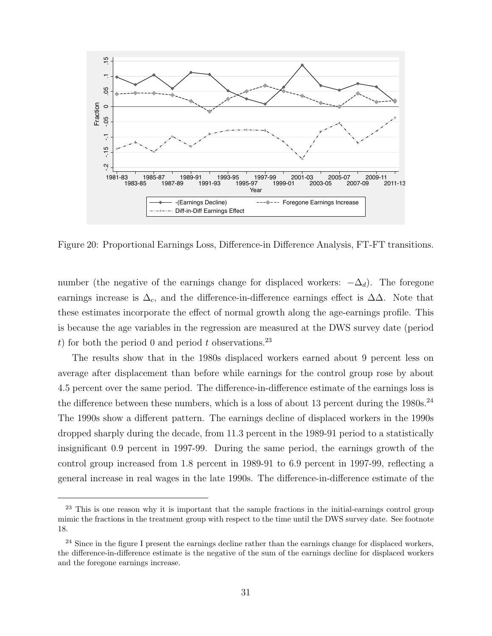

Figure 20: Proportional Earnings Loss, Difference-in Difference Analysis, FT-FT transitions.

number (the negative of the earnings change for displaced workers:  $-\Delta_d$ ). The foregone earnings increase is  $\Delta_c$ , and the difference-in-difference earnings effect is  $\Delta\Delta$ . Note that these estimates incorporate the effect of normal growth along the age-earnings profile. This is because the age variables in the regression are measured at the DWS survey date (period t) for both the period 0 and period t observations.<sup>23</sup>

The results show that in the 1980s displaced workers earned about 9 percent less on average after displacement than before while earnings for the control group rose by about 4.5 percent over the same period. The difference-in-difference estimate of the earnings loss is the difference between these numbers, which is a loss of about 13 percent during the  $1980s$ .<sup>24</sup> The 1990s show a different pattern. The earnings decline of displaced workers in the 1990s dropped sharply during the decade, from 11.3 percent in the 1989-91 period to a statistically insignificant 0.9 percent in 1997-99. During the same period, the earnings growth of the control group increased from 1.8 percent in 1989-91 to 6.9 percent in 1997-99, reflecting a general increase in real wages in the late 1990s. The difference-in-difference estimate of the

<sup>&</sup>lt;sup>23</sup> This is one reason why it is important that the sample fractions in the initial-earnings control group mimic the fractions in the treatment group with respect to the time until the DWS survey date. See footnote 18.

<sup>&</sup>lt;sup>24</sup> Since in the figure I present the earnings decline rather than the earnings change for displaced workers, the difference-in-difference estimate is the negative of the sum of the earnings decline for displaced workers and the foregone earnings increase.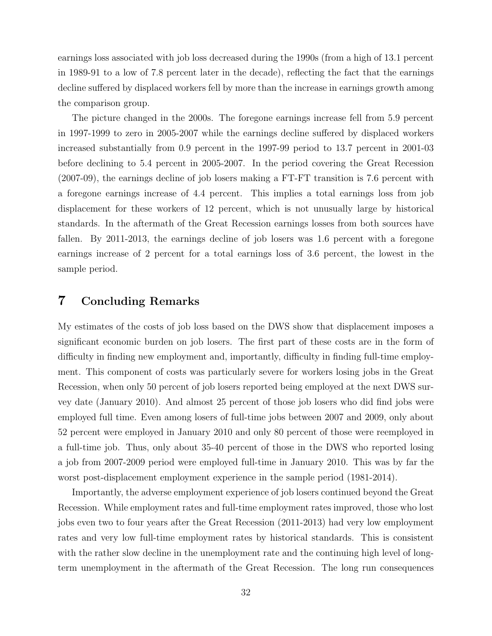earnings loss associated with job loss decreased during the 1990s (from a high of 13.1 percent in 1989-91 to a low of 7.8 percent later in the decade), reflecting the fact that the earnings decline suffered by displaced workers fell by more than the increase in earnings growth among the comparison group.

The picture changed in the 2000s. The foregone earnings increase fell from 5.9 percent in 1997-1999 to zero in 2005-2007 while the earnings decline suffered by displaced workers increased substantially from 0.9 percent in the 1997-99 period to 13.7 percent in 2001-03 before declining to 5.4 percent in 2005-2007. In the period covering the Great Recession (2007-09), the earnings decline of job losers making a FT-FT transition is 7.6 percent with a foregone earnings increase of 4.4 percent. This implies a total earnings loss from job displacement for these workers of 12 percent, which is not unusually large by historical standards. In the aftermath of the Great Recession earnings losses from both sources have fallen. By 2011-2013, the earnings decline of job losers was 1.6 percent with a foregone earnings increase of 2 percent for a total earnings loss of 3.6 percent, the lowest in the sample period.

#### 7 Concluding Remarks

My estimates of the costs of job loss based on the DWS show that displacement imposes a significant economic burden on job losers. The first part of these costs are in the form of difficulty in finding new employment and, importantly, difficulty in finding full-time employment. This component of costs was particularly severe for workers losing jobs in the Great Recession, when only 50 percent of job losers reported being employed at the next DWS survey date (January 2010). And almost 25 percent of those job losers who did find jobs were employed full time. Even among losers of full-time jobs between 2007 and 2009, only about 52 percent were employed in January 2010 and only 80 percent of those were reemployed in a full-time job. Thus, only about 35-40 percent of those in the DWS who reported losing a job from 2007-2009 period were employed full-time in January 2010. This was by far the worst post-displacement employment experience in the sample period (1981-2014).

Importantly, the adverse employment experience of job losers continued beyond the Great Recession. While employment rates and full-time employment rates improved, those who lost jobs even two to four years after the Great Recession (2011-2013) had very low employment rates and very low full-time employment rates by historical standards. This is consistent with the rather slow decline in the unemployment rate and the continuing high level of longterm unemployment in the aftermath of the Great Recession. The long run consequences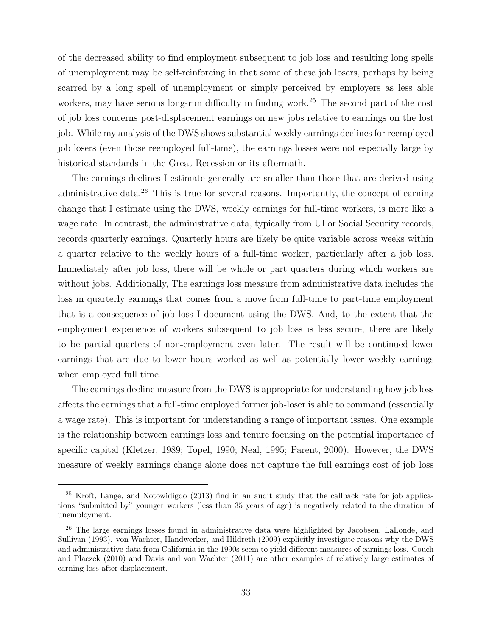of the decreased ability to find employment subsequent to job loss and resulting long spells of unemployment may be self-reinforcing in that some of these job losers, perhaps by being scarred by a long spell of unemployment or simply perceived by employers as less able workers, may have serious long-run difficulty in finding work.<sup>25</sup> The second part of the cost of job loss concerns post-displacement earnings on new jobs relative to earnings on the lost job. While my analysis of the DWS shows substantial weekly earnings declines for reemployed job losers (even those reemployed full-time), the earnings losses were not especially large by historical standards in the Great Recession or its aftermath.

The earnings declines I estimate generally are smaller than those that are derived using administrative data.<sup>26</sup> This is true for several reasons. Importantly, the concept of earning change that I estimate using the DWS, weekly earnings for full-time workers, is more like a wage rate. In contrast, the administrative data, typically from UI or Social Security records, records quarterly earnings. Quarterly hours are likely be quite variable across weeks within a quarter relative to the weekly hours of a full-time worker, particularly after a job loss. Immediately after job loss, there will be whole or part quarters during which workers are without jobs. Additionally, The earnings loss measure from administrative data includes the loss in quarterly earnings that comes from a move from full-time to part-time employment that is a consequence of job loss I document using the DWS. And, to the extent that the employment experience of workers subsequent to job loss is less secure, there are likely to be partial quarters of non-employment even later. The result will be continued lower earnings that are due to lower hours worked as well as potentially lower weekly earnings when employed full time.

The earnings decline measure from the DWS is appropriate for understanding how job loss affects the earnings that a full-time employed former job-loser is able to command (essentially a wage rate). This is important for understanding a range of important issues. One example is the relationship between earnings loss and tenure focusing on the potential importance of specific capital (Kletzer, 1989; Topel, 1990; Neal, 1995; Parent, 2000). However, the DWS measure of weekly earnings change alone does not capture the full earnings cost of job loss

<sup>25</sup> Kroft, Lange, and Notowidigdo (2013) find in an audit study that the callback rate for job applications "submitted by" younger workers (less than 35 years of age) is negatively related to the duration of unemployment.

<sup>&</sup>lt;sup>26</sup> The large earnings losses found in administrative data were highlighted by Jacobsen, LaLonde, and Sullivan (1993). von Wachter, Handwerker, and Hildreth (2009) explicitly investigate reasons why the DWS and administrative data from California in the 1990s seem to yield different measures of earnings loss. Couch and Placzek (2010) and Davis and von Wachter (2011) are other examples of relatively large estimates of earning loss after displacement.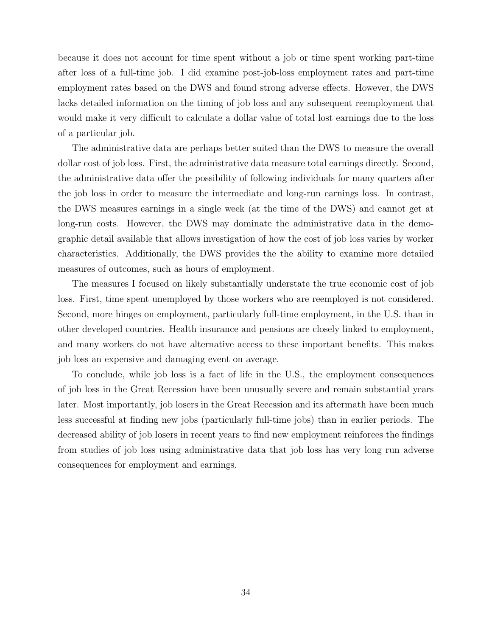because it does not account for time spent without a job or time spent working part-time after loss of a full-time job. I did examine post-job-loss employment rates and part-time employment rates based on the DWS and found strong adverse effects. However, the DWS lacks detailed information on the timing of job loss and any subsequent reemployment that would make it very difficult to calculate a dollar value of total lost earnings due to the loss of a particular job.

The administrative data are perhaps better suited than the DWS to measure the overall dollar cost of job loss. First, the administrative data measure total earnings directly. Second, the administrative data offer the possibility of following individuals for many quarters after the job loss in order to measure the intermediate and long-run earnings loss. In contrast, the DWS measures earnings in a single week (at the time of the DWS) and cannot get at long-run costs. However, the DWS may dominate the administrative data in the demographic detail available that allows investigation of how the cost of job loss varies by worker characteristics. Additionally, the DWS provides the the ability to examine more detailed measures of outcomes, such as hours of employment.

The measures I focused on likely substantially understate the true economic cost of job loss. First, time spent unemployed by those workers who are reemployed is not considered. Second, more hinges on employment, particularly full-time employment, in the U.S. than in other developed countries. Health insurance and pensions are closely linked to employment, and many workers do not have alternative access to these important benefits. This makes job loss an expensive and damaging event on average.

To conclude, while job loss is a fact of life in the U.S., the employment consequences of job loss in the Great Recession have been unusually severe and remain substantial years later. Most importantly, job losers in the Great Recession and its aftermath have been much less successful at finding new jobs (particularly full-time jobs) than in earlier periods. The decreased ability of job losers in recent years to find new employment reinforces the findings from studies of job loss using administrative data that job loss has very long run adverse consequences for employment and earnings.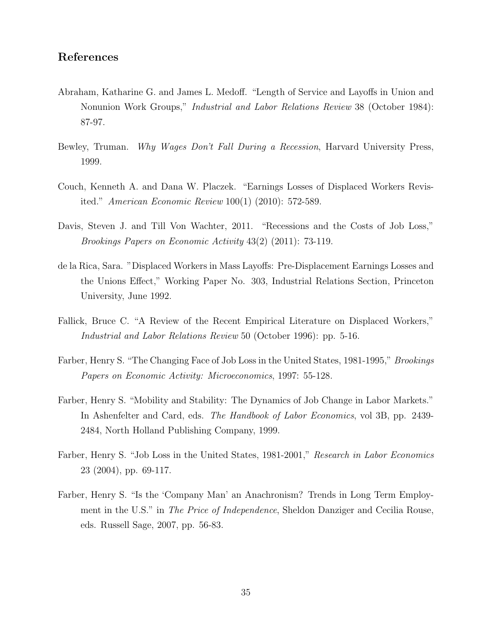#### References

- Abraham, Katharine G. and James L. Medoff. "Length of Service and Layoffs in Union and Nonunion Work Groups," Industrial and Labor Relations Review 38 (October 1984): 87-97.
- Bewley, Truman. Why Wages Don't Fall During a Recession, Harvard University Press, 1999.
- Couch, Kenneth A. and Dana W. Placzek. "Earnings Losses of Displaced Workers Revisited." American Economic Review 100(1) (2010): 572-589.
- Davis, Steven J. and Till Von Wachter, 2011. "Recessions and the Costs of Job Loss," Brookings Papers on Economic Activity 43(2) (2011): 73-119.
- de la Rica, Sara. "Displaced Workers in Mass Layoffs: Pre-Displacement Earnings Losses and the Unions Effect," Working Paper No. 303, Industrial Relations Section, Princeton University, June 1992.
- Fallick, Bruce C. "A Review of the Recent Empirical Literature on Displaced Workers," Industrial and Labor Relations Review 50 (October 1996): pp. 5-16.
- Farber, Henry S. "The Changing Face of Job Loss in the United States, 1981-1995," Brookings Papers on Economic Activity: Microeconomics, 1997: 55-128.
- Farber, Henry S. "Mobility and Stability: The Dynamics of Job Change in Labor Markets." In Ashenfelter and Card, eds. The Handbook of Labor Economics, vol 3B, pp. 2439- 2484, North Holland Publishing Company, 1999.
- Farber, Henry S. "Job Loss in the United States, 1981-2001," Research in Labor Economics 23 (2004), pp. 69-117.
- Farber, Henry S. "Is the 'Company Man' an Anachronism? Trends in Long Term Employment in the U.S." in The Price of Independence, Sheldon Danziger and Cecilia Rouse, eds. Russell Sage, 2007, pp. 56-83.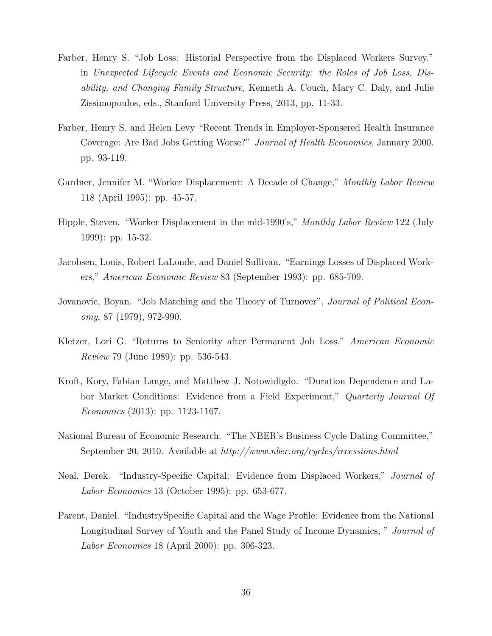- Farber, Henry S. "Job Loss: Historial Perspective from the Displaced Workers Survey." in Unexpected Lifecycle Events and Economic Security: the Roles of Job Loss, Disability, and Changing Family Structure, Kenneth A. Couch, Mary C. Daly, and Julie Zissimopoulos, eds., Stanford University Press, 2013, pp. 11-33.
- Farber, Henry S. and Helen Levy "Recent Trends in Employer-Sponsered Health Insurance Coverage: Are Bad Jobs Getting Worse?" Journal of Health Economics, January 2000. pp. 93-119.
- Gardner, Jennifer M. "Worker Displacement: A Decade of Change," Monthly Labor Review 118 (April 1995): pp. 45-57.
- Hipple, Steven. "Worker Displacement in the mid-1990's," Monthly Labor Review 122 (July 1999): pp. 15-32.
- Jacobsen, Louis, Robert LaLonde, and Daniel Sullivan. "Earnings Losses of Displaced Workers," American Economic Review 83 (September 1993): pp. 685-709.
- Jovanovic, Boyan. "Job Matching and the Theory of Turnover", *Journal of Political Econ*omy, 87 (1979), 972-990.
- Kletzer, Lori G. "Returns to Seniority after Permanent Job Loss," American Economic Review 79 (June 1989): pp. 536-543.
- Kroft, Kory, Fabian Lange, and Matthew J. Notowidigdo. "Duration Dependence and Labor Market Conditions: Evidence from a Field Experiment," Quarterly Journal Of Economics (2013): pp. 1123-1167.
- National Bureau of Economic Research. "The NBER's Business Cycle Dating Committee," September 20, 2010. Available at http://www.nber.org/cycles/recessions.html
- Neal, Derek. "Industry-Specific Capital: Evidence from Displaced Workers," Journal of Labor Economics 13 (October 1995): pp. 653-677.
- Parent, Daniel. "IndustrySpecific Capital and the Wage Profile: Evidence from the National Longitudinal Survey of Youth and the Panel Study of Income Dynamics, " *Journal of* Labor Economics 18 (April 2000): pp. 306-323.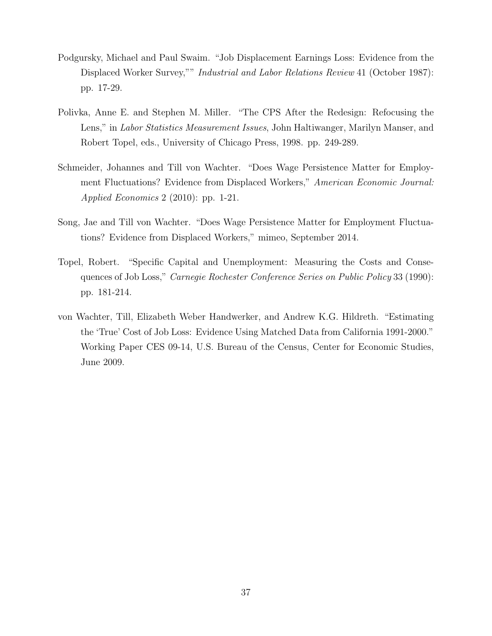- Podgursky, Michael and Paul Swaim. "Job Displacement Earnings Loss: Evidence from the Displaced Worker Survey,"" Industrial and Labor Relations Review 41 (October 1987): pp. 17-29.
- Polivka, Anne E. and Stephen M. Miller. "The CPS After the Redesign: Refocusing the Lens," in Labor Statistics Measurement Issues, John Haltiwanger, Marilyn Manser, and Robert Topel, eds., University of Chicago Press, 1998. pp. 249-289.
- Schmeider, Johannes and Till von Wachter. "Does Wage Persistence Matter for Employment Fluctuations? Evidence from Displaced Workers," American Economic Journal: Applied Economics 2 (2010): pp. 1-21.
- Song, Jae and Till von Wachter. "Does Wage Persistence Matter for Employment Fluctuations? Evidence from Displaced Workers," mimeo, September 2014.
- Topel, Robert. "Specific Capital and Unemployment: Measuring the Costs and Consequences of Job Loss," Carnegie Rochester Conference Series on Public Policy 33 (1990): pp. 181-214.
- von Wachter, Till, Elizabeth Weber Handwerker, and Andrew K.G. Hildreth. "Estimating the 'True' Cost of Job Loss: Evidence Using Matched Data from California 1991-2000." Working Paper CES 09-14, U.S. Bureau of the Census, Center for Economic Studies, June 2009.